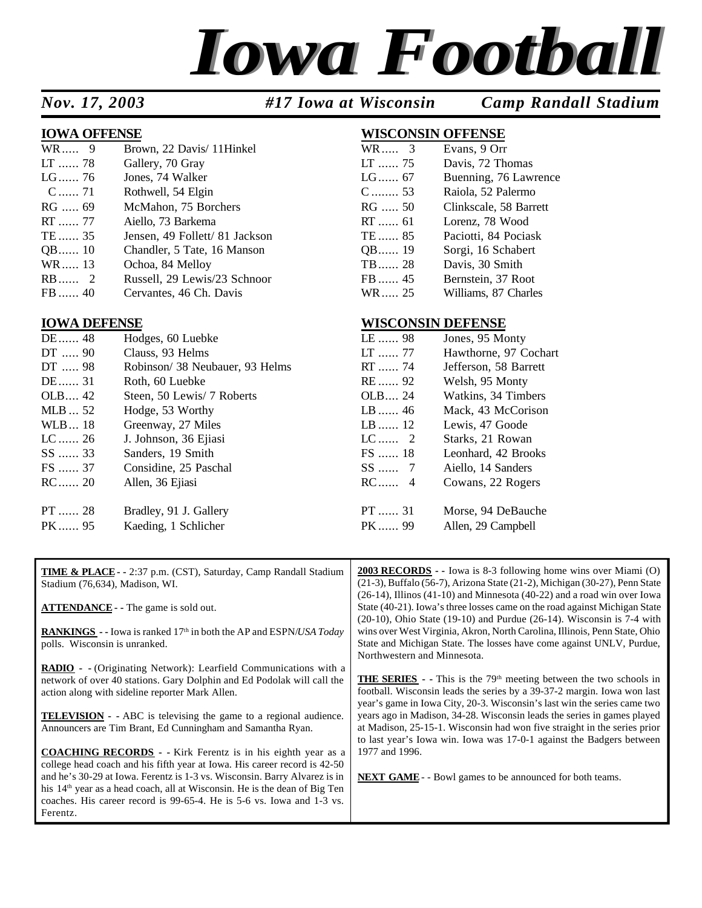# *Iowa Football*

*Nov. 17, 2003 #17 Iowa at Wisconsin Camp Randall Stadium*

#### **IOWA OFFENSE WISCONSIN OFFENSE**

| WR 9    | Brown, 22 Davis/ 11 Hinkel     | WR 3    | Evans, 9 Orr           |
|---------|--------------------------------|---------|------------------------|
| LT  78  | Gallery, 70 Gray               | $LT$ 75 | Davis, 72 Thomas       |
| LG 76   | Jones, 74 Walker               | $LG$ 67 | Buenning, 76 Lawrence  |
| C 71    | Rothwell, 54 Elgin             | $C$ 53  | Raiola, 52 Palermo     |
| $RG$ 69 | McMahon, 75 Borchers           | $RG$ 50 | Clinkscale, 58 Barrett |
| $RT$ 77 | Aiello, 73 Barkema             | $RT$ 61 | Lorenz, 78 Wood        |
| TE  35  | Jensen, 49 Follett/ 81 Jackson | TE  85  | Paciotti, 84 Pociask   |
| QB 10   | Chandler, 5 Tate, 16 Manson    | QB 19   | Sorgi, 16 Schabert     |
| WR 13   | Ochoa, 84 Melloy               | $TB$ 28 | Davis, 30 Smith        |
| $RB$ 2  | Russell, 29 Lewis/23 Schnoor   | FB  45  | Bernstein, 37 Root     |
| $FB$ 40 | Cervantes, 46 Ch. Davis        | WR 25   | Williams, 87 Charles   |

## WR.....  $3$  Evans, 9 Orr

| LT  75  | Davis, 72 Thomas       |
|---------|------------------------|
| LG 67   | Buenning, 76 Lawrence  |
| $C$ 53  | Raiola, 52 Palermo     |
| RG  50  | Clinkscale, 58 Barrett |
| RT  61  | Lorenz, 78 Wood        |
| TE  85  | Paciotti, 84 Pociask   |
| QB 19   | Sorgi, 16 Schabert     |
| TB  28  | Davis, 30 Smith        |
| $FB$ 45 | Bernstein, 37 Root     |
| WR 25   | Williams, 87 Charles   |

#### **IOWA DEFENSE WISCONSIN DEFENSE**

| DE  48  | Hodges, 60 Luebke               | LE  98  | Jones, 95 Monty       |
|---------|---------------------------------|---------|-----------------------|
| DT  90  | Clauss, 93 Helms                | $LT$ 77 | Hawthorne, 97 Cochart |
| DT  98  | Robinson/ 38 Neubauer, 93 Helms | RT  74  | Jefferson, 58 Barrett |
| DE  31  | Roth, 60 Luebke                 | RE  92  | Welsh, 95 Monty       |
| OLB 42  | Steen, 50 Lewis/ 7 Roberts      | OLB 24  | Watkins, 34 Timbers   |
| MLB  52 | Hodge, 53 Worthy                | $LB$ 46 | Mack, 43 McCorison    |
| WLB 18  | Greenway, 27 Miles              | $LB$ 12 | Lewis, 47 Goode       |
| LC  26  | J. Johnson, 36 Ejiasi           | $LC$ 2  | Starks, 21 Rowan      |
| SS  33  | Sanders, 19 Smith               | $FS$ 18 | Leonhard, 42 Brooks   |
| FS  37  | Considine, 25 Paschal           | $SS$ 7  | Aiello, 14 Sanders    |
| RC  20  | Allen, 36 Ejiasi                | $RC$ 4  | Cowans, 22 Rogers     |
| PT  28  | Bradley, 91 J. Gallery          | $PT$ 31 | Morse, 94 DeBauche    |
| PK  95  | Kaeding, 1 Schlicher            | PK 99   | Allen, 29 Campbell    |

| <b>TIME &amp; PLACE - - 2:37 p.m. (CST), Saturday, Camp Randall Stadium</b><br>Stadium (76,634), Madison, WI.        | <b>2003 RECORDS</b> - Iowa is 8-3 following home wins over Miami (O)<br>$(21-3)$ , Buffalo $(56-7)$ , Arizona State $(21-2)$ , Michigan $(30-27)$ , Penn State<br>$(26-14)$ , Illinos $(41-10)$ and Minnesota $(40-22)$ and a road win over Iowa                   |
|----------------------------------------------------------------------------------------------------------------------|--------------------------------------------------------------------------------------------------------------------------------------------------------------------------------------------------------------------------------------------------------------------|
| <b>ATTENDANCE</b> - The game is sold out.                                                                            | State (40-21). Iowa's three losses came on the road against Michigan State                                                                                                                                                                                         |
| <b>RANKINGS</b> - Iowa is ranked 17 <sup>th</sup> in both the AP and ESPN/USA Today<br>polls. Wisconsin is unranked. | $(20-10)$ , Ohio State $(19-10)$ and Purdue $(26-14)$ . Wisconsin is 7-4 with<br>wins over West Virginia, Akron, North Carolina, Illinois, Penn State, Ohio<br>State and Michigan State. The losses have come against UNLV, Purdue,<br>Northwestern and Minnesota. |
| <b>RADIO</b> - (Originating Network): Learfield Communications with a                                                |                                                                                                                                                                                                                                                                    |
| network of over 40 stations. Gary Dolphin and Ed Podolak will call the                                               | <b>THE SERIES</b> - This is the $79th$ meeting between the two schools in                                                                                                                                                                                          |
| action along with sideline reporter Mark Allen.                                                                      | football. Wisconsin leads the series by a 39-37-2 margin. Iowa won last                                                                                                                                                                                            |
|                                                                                                                      | year's game in Iowa City, 20-3. Wisconsin's last win the series came two                                                                                                                                                                                           |
| <b>TELEVISION</b> - ABC is televising the game to a regional audience.                                               | years ago in Madison, 34-28. Wisconsin leads the series in games played                                                                                                                                                                                            |
| Announcers are Tim Brant, Ed Cunningham and Samantha Ryan.                                                           | at Madison, 25-15-1. Wisconsin had won five straight in the series prior                                                                                                                                                                                           |
|                                                                                                                      | to last year's Iowa win. Iowa was 17-0-1 against the Badgers between                                                                                                                                                                                               |
| <b>COACHING RECORDS</b> - Kirk Ferentz is in his eighth year as a                                                    | 1977 and 1996.                                                                                                                                                                                                                                                     |
| college head coach and his fifth year at Iowa. His career record is 42-50                                            |                                                                                                                                                                                                                                                                    |
| and he's 30-29 at Iowa. Ferentz is 1-3 vs. Wisconsin. Barry Alvarez is in                                            | <b>NEXT GAME</b> - - Bowl games to be announced for both teams.                                                                                                                                                                                                    |
| his 14 <sup>th</sup> year as a head coach, all at Wisconsin. He is the dean of Big Ten                               |                                                                                                                                                                                                                                                                    |
| coaches. His career record is 99-65-4. He is 5-6 vs. Iowa and 1-3 vs.                                                |                                                                                                                                                                                                                                                                    |
| Ferentz.                                                                                                             |                                                                                                                                                                                                                                                                    |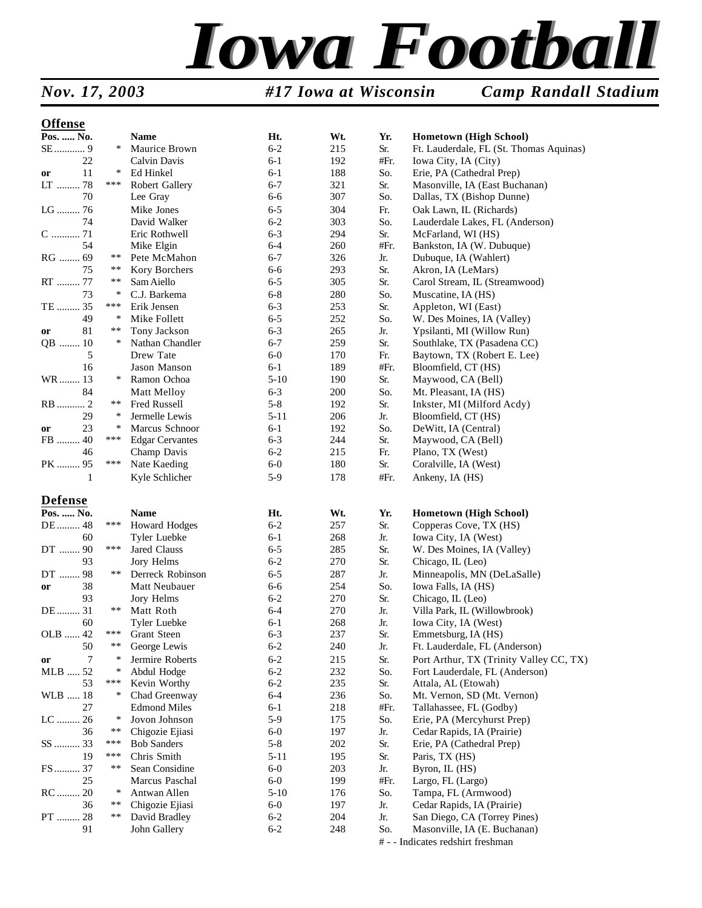# *Iowa Football*

*Nov. 17, 2003 #17 Iowa at Wisconsin Camp Randall Stadium*

#### **Offense**

| OIIEIISE       |        |                        |          |     |      |                                                      |
|----------------|--------|------------------------|----------|-----|------|------------------------------------------------------|
| Pos.  No.      |        | Name                   | Ht.      | Wt. | Yr.  | <b>Hometown (High School)</b>                        |
|                | $\ast$ | Maurice Brown          | $6 - 2$  | 215 | Sr.  | Ft. Lauderdale, FL (St. Thomas Aquinas)              |
| 22             |        | Calvin Davis           | $6 - 1$  | 192 | #Fr. | Iowa City, IA (City)                                 |
| 11<br>or       | $\ast$ | Ed Hinkel              | $6 - 1$  | 188 | So.  | Erie, PA (Cathedral Prep)                            |
| LT<br>78       | ***    | Robert Gallery         | $6 - 7$  | 321 | Sr.  | Masonville, IA (East Buchanan)                       |
| 70             |        | Lee Gray               | $6 - 6$  | 307 | So.  | Dallas, TX (Bishop Dunne)                            |
| LG  76         |        | Mike Jones             | $6 - 5$  | 304 | Fr.  | Oak Lawn, IL (Richards)                              |
| 74             |        | David Walker           | $6 - 2$  | 303 | So.  | Lauderdale Lakes, FL (Anderson)                      |
| C  71          |        | Eric Rothwell          | $6 - 3$  | 294 | Sr.  | McFarland, WI (HS)                                   |
| 54             |        | Mike Elgin             | $6 - 4$  | 260 | #Fr. | Bankston, IA (W. Dubuque)                            |
| RG  69         | $***$  | Pete McMahon           | $6 - 7$  | 326 | Jr.  | Dubuque, IA (Wahlert)                                |
| 75             | $***$  | Kory Borchers          | $6 - 6$  | 293 | Sr.  | Akron, IA (LeMars)                                   |
| RT  77         | $***$  | Sam Aiello             | $6 - 5$  | 305 | Sr.  | Carol Stream, IL (Streamwood)                        |
| 73             | $\ast$ | C.J. Barkema           | $6 - 8$  | 280 | So.  | Muscatine, IA (HS)                                   |
| TE  35         | ***    | Erik Jensen            | $6 - 3$  | 253 | Sr.  | Appleton, WI (East)                                  |
| 49             | $\ast$ | Mike Follett           | $6 - 5$  | 252 | So.  | W. Des Moines, IA (Valley)                           |
| 81<br>or       | $**$   | Tony Jackson           | $6 - 3$  | 265 | Jr.  | Ypsilanti, MI (Willow Run)                           |
| QB  10         | $\ast$ | Nathan Chandler        | $6 - 7$  | 259 | Sr.  | Southlake, TX (Pasadena CC)                          |
| 5              |        | Drew Tate              | $6-0$    | 170 | Fr.  | Baytown, TX (Robert E. Lee)                          |
|                |        | Jason Manson           | $6 - 1$  | 189 | #Fr. |                                                      |
| 16             | $\ast$ |                        |          |     |      | Bloomfield, CT (HS)                                  |
| WR 13          |        | Ramon Ochoa            | $5-10$   | 190 | Sr.  | Maywood, CA (Bell)                                   |
| 84             |        | Matt Melloy            | $6 - 3$  | 200 | So.  | Mt. Pleasant, IA (HS)                                |
| RB  2          | **     | Fred Russell           | $5 - 8$  | 192 | Sr.  | Inkster, MI (Milford Acdy)                           |
| 29             | ∗      | Jermelle Lewis         | $5 - 11$ | 206 | Jr.  | Bloomfield, CT (HS)                                  |
| 23<br>or       | $\ast$ | Marcus Schnoor         | $6-1$    | 192 | So.  | DeWitt, IA (Central)                                 |
| FB<br>40       | ***    | <b>Edgar Cervantes</b> | $6 - 3$  | 244 | Sr.  | Maywood, CA (Bell)                                   |
| 46             |        | Champ Davis            | $6 - 2$  | 215 | Fr.  | Plano, TX (West)                                     |
| PK  95         | ***    | Nate Kaeding           | $6-0$    | 180 | Sr.  | Coralville, IA (West)                                |
| 1              |        | Kyle Schlicher         | $5-9$    | 178 | #Fr. | Ankeny, IA (HS)                                      |
| <b>Defense</b> |        |                        |          |     |      |                                                      |
| Pos.  No.      |        | <b>Name</b>            | Ht.      | Wt. | Yr.  | Hometown (High School)                               |
| DE  48         | ***    | <b>Howard Hodges</b>   | $6 - 2$  | 257 | Sr.  | Copperas Cove, TX (HS)                               |
| 60             |        | Tyler Luebke           | $6-1$    | 268 | Jr.  | Iowa City, IA (West)                                 |
| DT  90         | ***    | Jared Clauss           | $6 - 5$  | 285 | Sr.  | W. Des Moines, IA (Valley)                           |
| 93             |        | Jory Helms             | $6 - 2$  | 270 | Sr.  | Chicago, IL (Leo)                                    |
| DT<br>98       | $***$  | Derreck Robinson       | $6 - 5$  | 287 | Jr.  | Minneapolis, MN (DeLaSalle)                          |
| 38<br>or       |        | Matt Neubauer          | $6 - 6$  | 254 | So.  | Iowa Falls, IA (HS)                                  |
| 93             |        | Jory Helms             | $6 - 2$  | 270 | Sr.  | Chicago, IL (Leo)                                    |
| DE  31         | $***$  | Matt Roth              | $6 - 4$  | 270 | Jr.  | Villa Park, IL (Willowbrook)                         |
| 60             |        | Tyler Luebke           | $6 - 1$  | 268 | Jr.  | Iowa City, IA (West)                                 |
| OLB  42        | ***    | <b>Grant Steen</b>     | $6 - 3$  | 237 | Sr.  |                                                      |
| $50\,$         | **     |                        | $6 - 2$  | 240 | Jr.  | Emmetsburg, IA (HS)<br>Ft. Lauderdale, FL (Anderson) |
|                | ∗      | George Lewis           |          |     |      |                                                      |
| 7<br>or        |        | Jermire Roberts        | $6 - 2$  | 215 | Sr.  | Port Arthur, TX (Trinity Valley CC, TX)              |
| $MLB$<br>52    | $\ast$ | Abdul Hodge            | $6 - 2$  | 232 | So.  | Fort Lauderdale, FL (Anderson)                       |
| 53             | ***    | Kevin Worthy           | $6 - 2$  | 235 | Sr.  | Attala, AL (Etowah)                                  |
| WLB  18        | $\ast$ | Chad Greenway          | $6 - 4$  | 236 | So.  | Mt. Vernon, SD (Mt. Vernon)                          |
| 27             |        | <b>Edmond Miles</b>    | $6 - 1$  | 218 | #Fr. | Tallahassee, FL (Godby)                              |
| LC  26         | $\ast$ | Jovon Johnson          | $5-9$    | 175 | So.  | Erie, PA (Mercyhurst Prep)                           |
| 36             | $***$  | Chigozie Ejiasi        | $6-0$    | 197 | Jr.  | Cedar Rapids, IA (Prairie)                           |
| SS  33         | ***    | <b>Bob Sanders</b>     | $5 - 8$  | 202 | Sr.  | Erie, PA (Cathedral Prep)                            |
| 19             | ***    | Chris Smith            | $5 - 11$ | 195 | Sr.  | Paris, TX (HS)                                       |
| FS 37          | $***$  | Sean Considine         | $6-0$    | 203 | Jr.  | Byron, IL (HS)                                       |
| 25             |        | Marcus Paschal         | $6-0$    | 199 | #Fr. | Largo, FL (Largo)                                    |
| RC  20         | $\ast$ | Antwan Allen           | $5 - 10$ | 176 | So.  | Tampa, FL (Armwood)                                  |
| 36             | $***$  | Chigozie Ejiasi        | $6-0$    | 197 | Jr.  | Cedar Rapids, IA (Prairie)                           |
| PT  28         | $***$  | David Bradley          | $6 - 2$  | 204 | Jr.  | San Diego, CA (Torrey Pines)                         |
| 91             |        | John Gallery           | $6 - 2$  | 248 | So.  | Masonville, IA (E. Buchanan)                         |
|                |        |                        |          |     |      | # - - Indicates redshirt freshman                    |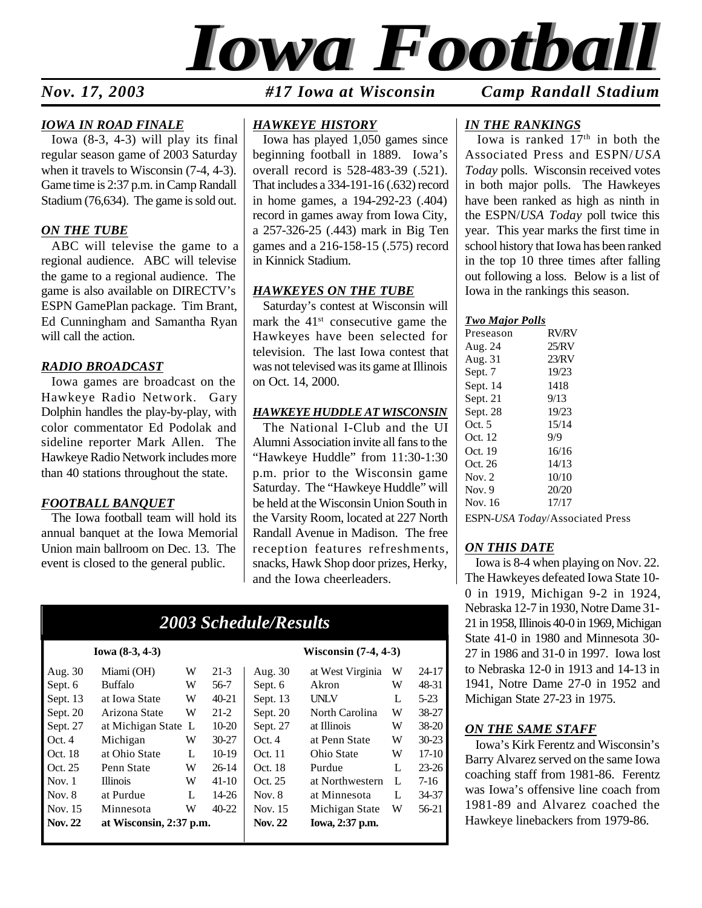

*Nov. 17, 2003 #17 Iowa at Wisconsin Camp Randall Stadium*

#### *IOWA IN ROAD FINALE*

Iowa (8-3, 4-3) will play its final regular season game of 2003 Saturday when it travels to Wisconsin (7-4, 4-3). Game time is 2:37 p.m. in Camp Randall Stadium (76,634). The game is sold out.

#### *ON THE TUBE*

ABC will televise the game to a regional audience. ABC will televise the game to a regional audience. The game is also available on DIRECTV's ESPN GamePlan package. Tim Brant, Ed Cunningham and Samantha Ryan will call the action.

#### *RADIO BROADCAST*

Iowa games are broadcast on the Hawkeye Radio Network. Gary Dolphin handles the play-by-play, with color commentator Ed Podolak and sideline reporter Mark Allen. The Hawkeye Radio Network includes more than 40 stations throughout the state.

#### *FOOTBALL BANQUET*

The Iowa football team will hold its annual banquet at the Iowa Memorial Union main ballroom on Dec. 13. The event is closed to the general public.

#### *HAWKEYE HISTORY*

Iowa has played 1,050 games since beginning football in 1889. Iowa's overall record is 528-483-39 (.521). That includes a 334-191-16 (.632) record in home games, a 194-292-23 (.404) record in games away from Iowa City, a 257-326-25 (.443) mark in Big Ten games and a 216-158-15 (.575) record in Kinnick Stadium.

#### *HAWKEYES ON THE TUBE*

Saturday's contest at Wisconsin will mark the  $41<sup>st</sup>$  consecutive game the Hawkeyes have been selected for television. The last Iowa contest that was not televised was its game at Illinois on Oct. 14, 2000.

#### *HAWKEYE HUDDLE AT WISCONSIN*

The National I-Club and the UI Alumni Association invite all fans to the "Hawkeye Huddle" from 11:30-1:30 p.m. prior to the Wisconsin game Saturday. The "Hawkeye Huddle" will be held at the Wisconsin Union South in the Varsity Room, located at 227 North Randall Avenue in Madison. The free reception features refreshments, snacks, Hawk Shop door prizes, Herky, and the Iowa cheerleaders.

#### *2003 Schedule/Results*

| <b>Nov. 22</b> | at Wisconsin, 2:37 p.m. |   |           | <b>Nov. 22</b> | Iowa, 2:37 p.m.  |   |           |
|----------------|-------------------------|---|-----------|----------------|------------------|---|-----------|
| Nov. 15        | Minnesota               | W | $40-22$   | Nov. 15        | Michigan State   | W | 56-21     |
| Nov. 8         | at Purdue               | L | 14-26     | Nov. $8$       | at Minnesota     | L | 34-37     |
| Nov. $1$       | <b>Illinois</b>         | W | 41-10     | Oct. 25        | at Northwestern  | L | 7-16      |
| Oct. 25        | Penn State              | W | $26-14$   | Oct. 18        | Purdue           | L | $23 - 26$ |
| Oct. 18        | at Ohio State           | L | $10-19$   | Oct. 11        | Ohio State       | W | $17-10$   |
| Oct.4          | Michigan                | W | $30 - 27$ | Oct.4          | at Penn State    | W | $30 - 23$ |
| Sept. 27       | at Michigan State L     |   | $10 - 20$ | Sept. 27       | at Illinois      | W | $38 - 20$ |
| Sept. 20       | Arizona State           | W | $21-2$    | Sept. 20       | North Carolina   | W | 38-27     |
| Sept. 13       | at Iowa State           | W | $40 - 21$ | Sept. 13       | <b>UNLV</b>      | L | $5-23$    |
| Sept. 6        | <b>Buffalo</b>          | W | 56-7      | Sept. 6        | Akron            | w | 48-31     |
| Aug. 30        | Miami (OH)              | W | $21-3$    | Aug. 30        | at West Virginia | W | $24 - 17$ |
|                |                         |   |           |                |                  |   |           |

#### **Iowa (8-3, 4-3) Wisconsin (7-4, 4-3)**

| 30 | at West Virginia | W | 24-17     |
|----|------------------|---|-----------|
| 5  | Akron            | W | 48-31     |
| 13 | UNLV             | L | $5 - 23$  |
| 20 | North Carolina   | W | 38-27     |
| 27 | at Illinois      | W | 38-20     |
|    | at Penn State    | W | $30 - 23$ |
| 1  | Ohio State       | W | $17-10$   |
| 8  | Purdue           | L | $23 - 26$ |
| 5  | at Northwestern  | L | $7-16$    |
| ζ  | at Minnesota     | L | 34-37     |
| .5 | Michigan State   | W | 56-21     |
| :2 | Iowa, 2:37 p.m.  |   |           |

#### *IN THE RANKINGS*

Iowa is ranked  $17<sup>th</sup>$  in both the Associated Press and ESPN/*USA Today* polls. Wisconsin received votes in both major polls. The Hawkeyes have been ranked as high as ninth in the ESPN/*USA Today* poll twice this year. This year marks the first time in school history that Iowa has been ranked in the top 10 three times after falling out following a loss. Below is a list of Iowa in the rankings this season.

#### *Two Major Polls*

| Preseason | <b>RV/RV</b> |
|-----------|--------------|
| Aug. 24   | 25/RV        |
| Aug. 31   | 23/RV        |
| Sept. 7   | 19/23        |
| Sept. 14  | 1418         |
| Sept. 21  | 9/13         |
| Sept. 28  | 19/23        |
| Oct. $5$  | 15/14        |
| Oct. 12   | 9/9          |
| Oct. 19   | 16/16        |
| Oct. 26   | 14/13        |
| Nov. 2    | 10/10        |
| Nov. 9    | 20/20        |
| Nov. 16   | 17/17        |
|           |              |

ESPN-*USA Today*/Associated Press

#### *ON THIS DATE*

Iowa is 8-4 when playing on Nov. 22. The Hawkeyes defeated Iowa State 10- 0 in 1919, Michigan 9-2 in 1924, Nebraska 12-7 in 1930, Notre Dame 31- 21 in 1958, Illinois 40-0 in 1969, Michigan State 41-0 in 1980 and Minnesota 30- 27 in 1986 and 31-0 in 1997. Iowa lost to Nebraska 12-0 in 1913 and 14-13 in 1941, Notre Dame 27-0 in 1952 and Michigan State 27-23 in 1975.

#### *ON THE SAME STAFF*

Iowa's Kirk Ferentz and Wisconsin's Barry Alvarez served on the same Iowa coaching staff from 1981-86. Ferentz was Iowa's offensive line coach from 1981-89 and Alvarez coached the Hawkeye linebackers from 1979-86.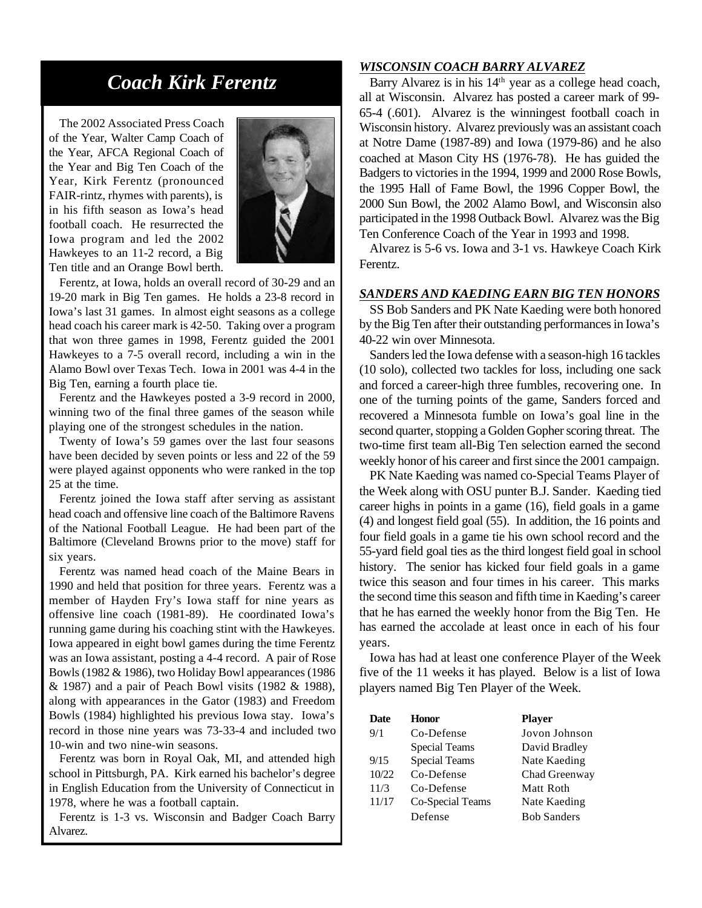## *Coach Kirk Ferentz*

The 2002 Associated Press Coach of the Year, Walter Camp Coach of the Year, AFCA Regional Coach of the Year and Big Ten Coach of the Year, Kirk Ferentz (pronounced FAIR-rintz, rhymes with parents), is in his fifth season as Iowa's head football coach. He resurrected the Iowa program and led the 2002 Hawkeyes to an 11-2 record, a Big Ten title and an Orange Bowl berth.



Ferentz, at Iowa, holds an overall record of 30-29 and an 19-20 mark in Big Ten games. He holds a 23-8 record in Iowa's last 31 games. In almost eight seasons as a college head coach his career mark is 42-50. Taking over a program that won three games in 1998, Ferentz guided the 2001 Hawkeyes to a 7-5 overall record, including a win in the Alamo Bowl over Texas Tech. Iowa in 2001 was 4-4 in the Big Ten, earning a fourth place tie.

Ferentz and the Hawkeyes posted a 3-9 record in 2000, winning two of the final three games of the season while playing one of the strongest schedules in the nation.

Twenty of Iowa's 59 games over the last four seasons have been decided by seven points or less and 22 of the 59 were played against opponents who were ranked in the top 25 at the time.

Ferentz joined the Iowa staff after serving as assistant head coach and offensive line coach of the Baltimore Ravens of the National Football League. He had been part of the Baltimore (Cleveland Browns prior to the move) staff for six years.

Ferentz was named head coach of the Maine Bears in 1990 and held that position for three years. Ferentz was a member of Hayden Fry's Iowa staff for nine years as offensive line coach (1981-89). He coordinated Iowa's running game during his coaching stint with the Hawkeyes. Iowa appeared in eight bowl games during the time Ferentz was an Iowa assistant, posting a 4-4 record. A pair of Rose Bowls (1982 & 1986), two Holiday Bowl appearances (1986 & 1987) and a pair of Peach Bowl visits (1982 & 1988), along with appearances in the Gator (1983) and Freedom Bowls (1984) highlighted his previous Iowa stay. Iowa's record in those nine years was 73-33-4 and included two 10-win and two nine-win seasons.

Ferentz was born in Royal Oak, MI, and attended high school in Pittsburgh, PA. Kirk earned his bachelor's degree in English Education from the University of Connecticut in 1978, where he was a football captain.

Ferentz is 1-3 vs. Wisconsin and Badger Coach Barry Alvarez.

#### *WISCONSIN COACH BARRY ALVAREZ*

Barry Alvarez is in his 14th year as a college head coach, all at Wisconsin. Alvarez has posted a career mark of 99- 65-4 (.601). Alvarez is the winningest football coach in Wisconsin history. Alvarez previously was an assistant coach at Notre Dame (1987-89) and Iowa (1979-86) and he also coached at Mason City HS (1976-78). He has guided the Badgers to victories in the 1994, 1999 and 2000 Rose Bowls, the 1995 Hall of Fame Bowl, the 1996 Copper Bowl, the 2000 Sun Bowl, the 2002 Alamo Bowl, and Wisconsin also participated in the 1998 Outback Bowl. Alvarez was the Big Ten Conference Coach of the Year in 1993 and 1998.

Alvarez is 5-6 vs. Iowa and 3-1 vs. Hawkeye Coach Kirk Ferentz.

#### *SANDERS AND KAEDING EARN BIG TEN HONORS*

SS Bob Sanders and PK Nate Kaeding were both honored by the Big Ten after their outstanding performances in Iowa's 40-22 win over Minnesota.

Sanders led the Iowa defense with a season-high 16 tackles (10 solo), collected two tackles for loss, including one sack and forced a career-high three fumbles, recovering one. In one of the turning points of the game, Sanders forced and recovered a Minnesota fumble on Iowa's goal line in the second quarter, stopping a Golden Gopher scoring threat. The two-time first team all-Big Ten selection earned the second weekly honor of his career and first since the 2001 campaign.

PK Nate Kaeding was named co-Special Teams Player of the Week along with OSU punter B.J. Sander. Kaeding tied career highs in points in a game (16), field goals in a game (4) and longest field goal (55). In addition, the 16 points and four field goals in a game tie his own school record and the 55-yard field goal ties as the third longest field goal in school history. The senior has kicked four field goals in a game twice this season and four times in his career. This marks the second time this season and fifth time in Kaeding's career that he has earned the weekly honor from the Big Ten. He has earned the accolade at least once in each of his four years.

Iowa has had at least one conference Player of the Week five of the 11 weeks it has played. Below is a list of Iowa players named Big Ten Player of the Week.

| <b>Date</b> | Honor                | <b>Player</b>      |
|-------------|----------------------|--------------------|
| 9/1         | Co-Defense           | Jovon Johnson      |
|             | <b>Special Teams</b> | David Bradley      |
| 9/15        | <b>Special Teams</b> | Nate Kaeding       |
| 10/22       | Co-Defense           | Chad Greenway      |
| 11/3        | Co-Defense           | Matt Roth          |
| 11/17       | Co-Special Teams     | Nate Kaeding       |
|             | Defense              | <b>Bob Sanders</b> |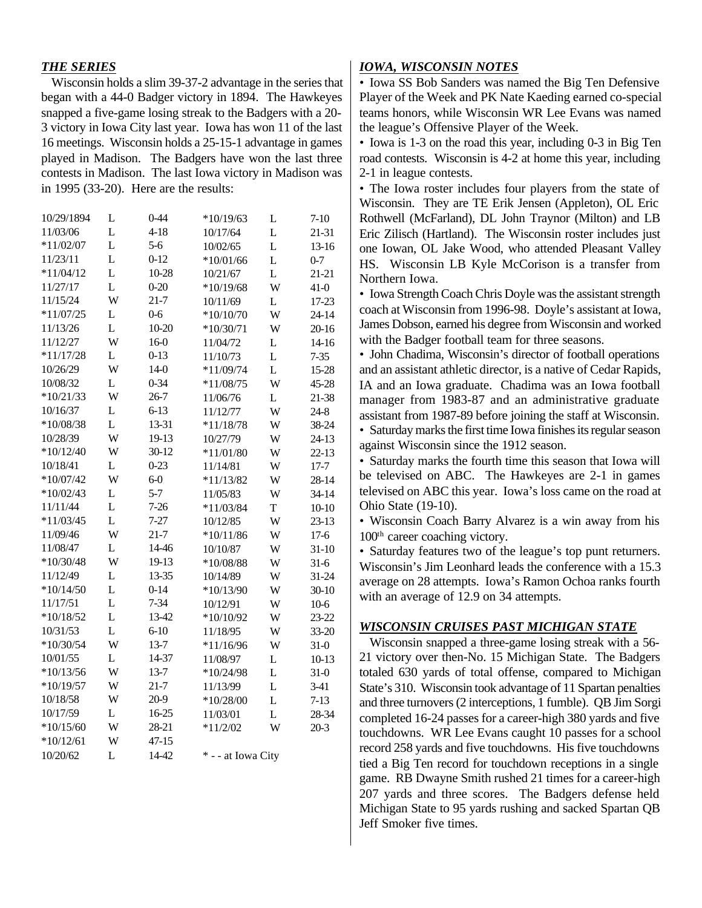#### *THE SERIES*

Wisconsin holds a slim 39-37-2 advantage in the series that began with a 44-0 Badger victory in 1894. The Hawkeyes snapped a five-game losing streak to the Badgers with a 20- 3 victory in Iowa City last year. Iowa has won 11 of the last 16 meetings. Wisconsin holds a 25-15-1 advantage in games played in Madison. The Badgers have won the last three contests in Madison. The last Iowa victory in Madison was in 1995 (33-20). Here are the results:

| 10/29/1894  | L | 0-44      | $*10/19/63$        | L           | $7 - 10$  |
|-------------|---|-----------|--------------------|-------------|-----------|
| 11/03/06    | L | $4 - 18$  | 10/17/64           | L           | 21-31     |
| $*11/02/07$ | L | $5-6$     | 10/02/65           | L           | 13-16     |
| 11/23/11    | L | $0 - 12$  | $*10/01/66$        | L           | $0 - 7$   |
| $*11/04/12$ | L | 10-28     | 10/21/67           | L           | 21-21     |
| 11/27/17    | L | $0 - 20$  | $*10/19/68$        | W           | $41-0$    |
| 11/15/24    | W | $21 - 7$  | 10/11/69           | L           | 17-23     |
| $*11/07/25$ | L | $0-6$     | $*10/10/70$        | W           | $24 - 14$ |
| 11/13/26    | L | $10-20$   | $*10/30/71$        | W           | 20-16     |
| 11/12/27    | W | $16-0$    | 11/04/72           | L           | $14-16$   |
| $*11/17/28$ | L | $0 - 13$  | 11/10/73           | L           | $7 - 35$  |
| 10/26/29    | W | $14-0$    | $*11/09/74$        | L           | 15-28     |
| 10/08/32    | L | $0 - 34$  | $*11/08/75$        | W           | 45-28     |
| $*10/21/33$ | W | $26 - 7$  | 11/06/76           | L           | 21-38     |
| 10/16/37    | L | $6 - 13$  | 11/12/77           | W           | $24 - 8$  |
| $*10/08/38$ | L | 13-31     | $*11/18/78$        | W           | 38-24     |
| 10/28/39    | W | 19-13     | 10/27/79           | W           | 24-13     |
| $*10/12/40$ | W | $30 - 12$ | $*11/01/80$        | W           | $22 - 13$ |
| 10/18/41    | L | $0 - 23$  | 11/14/81           | W           | $17 - 7$  |
| $*10/07/42$ | W | $6-0$     | $*11/13/82$        | W           | 28-14     |
| $*10/02/43$ | L | $5 - 7$   | 11/05/83           | W           | 34-14     |
| 11/11/44    | L | $7 - 26$  | $*11/03/84$        | $\mathbf T$ | $10-10$   |
| $*11/03/45$ | L | $7 - 27$  | 10/12/85           | W           | 23-13     |
| 11/09/46    | W | $21 - 7$  | $*10/11/86$        | W           | $17-6$    |
| 11/08/47    | L | 14-46     | 10/10/87           | W           | $31-10$   |
| $*10/30/48$ | W | 19-13     | $*10/08/88$        | W           | $31-6$    |
| 11/12/49    | L | 13-35     | 10/14/89           | W           | 31-24     |
| $*10/14/50$ | L | $0 - 14$  | $*10/13/90$        | W           | $30-10$   |
| 11/17/51    | L | $7 - 34$  | 10/12/91           | W           | $10-6$    |
| $*10/18/52$ | L | 13-42     | $*10/10/92$        | W           | 23-22     |
| 10/31/53    | L | $6 - 10$  | 11/18/95           | W           | 33-20     |
| $*10/30/54$ | W | $13 - 7$  | $*11/16/96$        | W           | $31-0$    |
| 10/01/55    | L | 14-37     | 11/08/97           | L           | $10-13$   |
| $*10/13/56$ | W | $13 - 7$  | $*10/24/98$        | L           | $31-0$    |
| $*10/19/57$ | W | $21 - 7$  | 11/13/99           | L           | $3-41$    |
| 10/18/58    | W | 20-9      | $*10/28/00$        | L           | $7 - 13$  |
| 10/17/59    | L | 16-25     | 11/03/01           | L           | 28-34     |
| $*10/15/60$ | W | 28-21     | $*11/2/02$         | W           | $20-3$    |
| $*10/12/61$ | W | $47 - 15$ |                    |             |           |
| 10/20/62    | L | 14-42     | * - - at Iowa City |             |           |
|             |   |           |                    |             |           |

#### *IOWA, WISCONSIN NOTES*

*•* Iowa SS Bob Sanders was named the Big Ten Defensive Player of the Week and PK Nate Kaeding earned co-special teams honors, while Wisconsin WR Lee Evans was named the league's Offensive Player of the Week.

*•* Iowa is 1-3 on the road this year, including 0-3 in Big Ten road contests. Wisconsin is 4-2 at home this year, including 2-1 in league contests.

*•* The Iowa roster includes four players from the state of Wisconsin. They are TE Erik Jensen (Appleton), OL Eric Rothwell (McFarland), DL John Traynor (Milton) and LB Eric Zilisch (Hartland). The Wisconsin roster includes just one Iowan, OL Jake Wood, who attended Pleasant Valley HS. Wisconsin LB Kyle McCorison is a transfer from Northern Iowa.

*•* Iowa Strength Coach Chris Doyle was the assistant strength coach at Wisconsin from 1996-98. Doyle's assistant at Iowa, James Dobson, earned his degree from Wisconsin and worked with the Badger football team for three seasons.

*•* John Chadima, Wisconsin's director of football operations and an assistant athletic director, is a native of Cedar Rapids, IA and an Iowa graduate. Chadima was an Iowa football manager from 1983-87 and an administrative graduate assistant from 1987-89 before joining the staff at Wisconsin. *•* Saturday marks the first time Iowa finishes its regular season

against Wisconsin since the 1912 season.

*•* Saturday marks the fourth time this season that Iowa will be televised on ABC. The Hawkeyes are 2-1 in games televised on ABC this year. Iowa's loss came on the road at Ohio State (19-10).

*•* Wisconsin Coach Barry Alvarez is a win away from his 100<sup>th</sup> career coaching victory.

*•* Saturday features two of the league's top punt returners. Wisconsin's Jim Leonhard leads the conference with a 15.3 average on 28 attempts. Iowa's Ramon Ochoa ranks fourth with an average of 12.9 on 34 attempts.

#### *WISCONSIN CRUISES PAST MICHIGAN STATE*

Wisconsin snapped a three-game losing streak with a 56- 21 victory over then-No. 15 Michigan State. The Badgers totaled 630 yards of total offense, compared to Michigan State's 310. Wisconsin took advantage of 11 Spartan penalties and three turnovers (2 interceptions, 1 fumble). QB Jim Sorgi completed 16-24 passes for a career-high 380 yards and five touchdowns. WR Lee Evans caught 10 passes for a school record 258 yards and five touchdowns. His five touchdowns tied a Big Ten record for touchdown receptions in a single game. RB Dwayne Smith rushed 21 times for a career-high 207 yards and three scores. The Badgers defense held Michigan State to 95 yards rushing and sacked Spartan QB Jeff Smoker five times.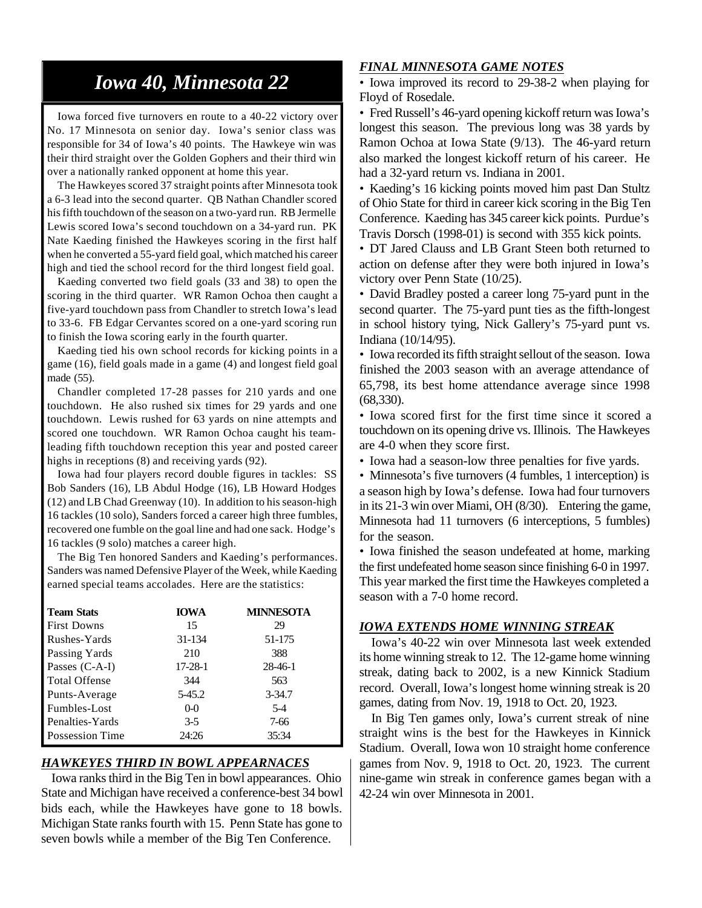## *Iowa 40, Minnesota 22*

Iowa forced five turnovers en route to a 40-22 victory over No. 17 Minnesota on senior day. Iowa's senior class was responsible for 34 of Iowa's 40 points. The Hawkeye win was their third straight over the Golden Gophers and their third win over a nationally ranked opponent at home this year.

The Hawkeyes scored 37 straight points after Minnesota took a 6-3 lead into the second quarter. QB Nathan Chandler scored his fifth touchdown of the season on a two-yard run. RB Jermelle Lewis scored Iowa's second touchdown on a 34-yard run. PK Nate Kaeding finished the Hawkeyes scoring in the first half when he converted a 55-yard field goal, which matched his career high and tied the school record for the third longest field goal.

Kaeding converted two field goals (33 and 38) to open the scoring in the third quarter. WR Ramon Ochoa then caught a five-yard touchdown pass from Chandler to stretch Iowa's lead to 33-6. FB Edgar Cervantes scored on a one-yard scoring run to finish the Iowa scoring early in the fourth quarter.

Kaeding tied his own school records for kicking points in a game (16), field goals made in a game (4) and longest field goal made (55).

Chandler completed 17-28 passes for 210 yards and one touchdown. He also rushed six times for 29 yards and one touchdown. Lewis rushed for 63 yards on nine attempts and scored one touchdown. WR Ramon Ochoa caught his teamleading fifth touchdown reception this year and posted career highs in receptions (8) and receiving yards (92).

Iowa had four players record double figures in tackles: SS Bob Sanders (16), LB Abdul Hodge (16), LB Howard Hodges (12) and LB Chad Greenway (10). In addition to his season-high 16 tackles (10 solo), Sanders forced a career high three fumbles, recovered one fumble on the goal line and had one sack. Hodge's 16 tackles (9 solo) matches a career high.

The Big Ten honored Sanders and Kaeding's performances. Sanders was named Defensive Player of the Week, while Kaeding earned special teams accolades. Here are the statistics:

| <b>Team Stats</b>    | <b>IOWA</b>   | <b>MINNESOTA</b> |
|----------------------|---------------|------------------|
| <b>First Downs</b>   | 15            | 29               |
| Rushes-Yards         | 31-134        | 51-175           |
| Passing Yards        | 210           | 388              |
| Passes (C-A-I)       | $17 - 28 - 1$ | $28 - 46 - 1$    |
| <b>Total Offense</b> | 344           | 563              |
| Punts-Average        | 5-45.2        | $3 - 34.7$       |
| Fumbles-Lost         | $0 - 0$       | $5-4$            |
| Penalties-Yards      | $3-5$         | 7-66             |
| Possession Time      | 24:26         | 35:34            |

#### *HAWKEYES THIRD IN BOWL APPEARNACES*

Iowa ranks third in the Big Ten in bowl appearances. Ohio State and Michigan have received a conference-best 34 bowl bids each, while the Hawkeyes have gone to 18 bowls. Michigan State ranks fourth with 15. Penn State has gone to seven bowls while a member of the Big Ten Conference.

#### *FINAL MINNESOTA GAME NOTES*

*•* Iowa improved its record to 29-38-2 when playing for Floyd of Rosedale.

*•* Fred Russell's 46-yard opening kickoff return was Iowa's longest this season. The previous long was 38 yards by Ramon Ochoa at Iowa State (9/13). The 46-yard return also marked the longest kickoff return of his career. He had a 32-yard return vs. Indiana in 2001.

*•* Kaeding's 16 kicking points moved him past Dan Stultz of Ohio State for third in career kick scoring in the Big Ten Conference. Kaeding has 345 career kick points. Purdue's Travis Dorsch (1998-01) is second with 355 kick points.

*•* DT Jared Clauss and LB Grant Steen both returned to action on defense after they were both injured in Iowa's victory over Penn State (10/25).

*•* David Bradley posted a career long 75-yard punt in the second quarter. The 75-yard punt ties as the fifth-longest in school history tying, Nick Gallery's 75-yard punt vs. Indiana (10/14/95).

*•* Iowa recorded its fifth straight sellout of the season. Iowa finished the 2003 season with an average attendance of 65,798, its best home attendance average since 1998 (68,330).

*•* Iowa scored first for the first time since it scored a touchdown on its opening drive vs. Illinois. The Hawkeyes are 4-0 when they score first.

*•* Iowa had a season-low three penalties for five yards.

• Minnesota's five turnovers (4 fumbles, 1 interception) is a season high by Iowa's defense. Iowa had four turnovers in its 21-3 win over Miami, OH (8/30). Entering the game, Minnesota had 11 turnovers (6 interceptions, 5 fumbles) for the season.

*•* Iowa finished the season undefeated at home, marking the first undefeated home season since finishing 6-0 in 1997. This year marked the first time the Hawkeyes completed a season with a 7-0 home record.

#### *IOWA EXTENDS HOME WINNING STREAK*

Iowa's 40-22 win over Minnesota last week extended its home winning streak to 12. The 12-game home winning streak, dating back to 2002, is a new Kinnick Stadium record. Overall, Iowa's longest home winning streak is 20 games, dating from Nov. 19, 1918 to Oct. 20, 1923.

In Big Ten games only, Iowa's current streak of nine straight wins is the best for the Hawkeyes in Kinnick Stadium. Overall, Iowa won 10 straight home conference games from Nov. 9, 1918 to Oct. 20, 1923. The current nine-game win streak in conference games began with a 42-24 win over Minnesota in 2001.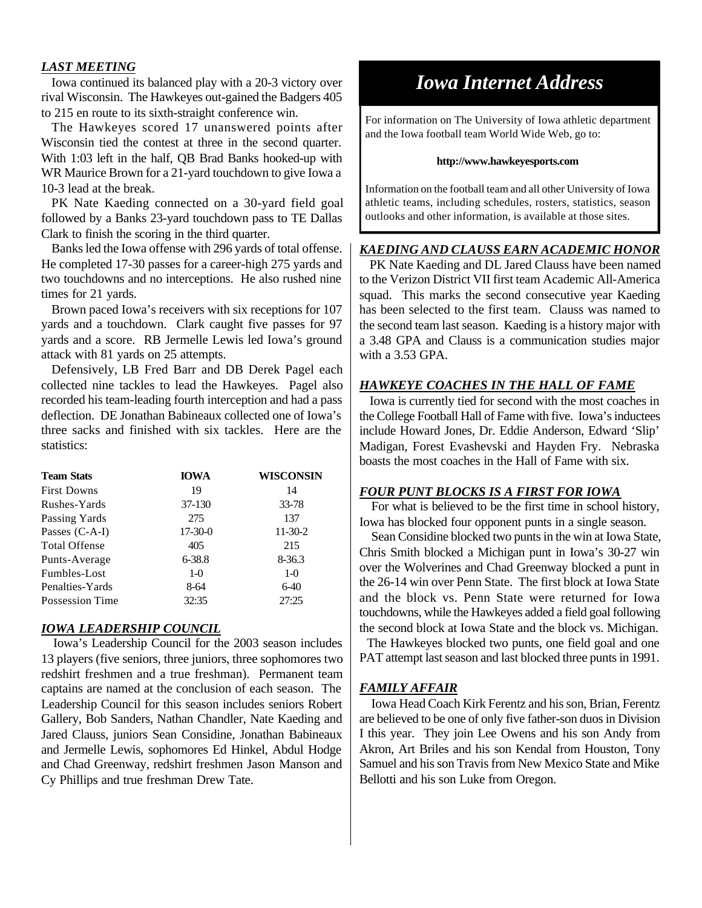#### *LAST MEETING*

Iowa continued its balanced play with a 20-3 victory over rival Wisconsin. The Hawkeyes out-gained the Badgers 405 to 215 en route to its sixth-straight conference win.

The Hawkeyes scored 17 unanswered points after Wisconsin tied the contest at three in the second quarter. With 1:03 left in the half, QB Brad Banks hooked-up with WR Maurice Brown for a 21-yard touchdown to give Iowa a 10-3 lead at the break.

PK Nate Kaeding connected on a 30-yard field goal followed by a Banks 23-yard touchdown pass to TE Dallas Clark to finish the scoring in the third quarter.

Banks led the Iowa offense with 296 yards of total offense. He completed 17-30 passes for a career-high 275 yards and two touchdowns and no interceptions. He also rushed nine times for 21 yards.

Brown paced Iowa's receivers with six receptions for 107 yards and a touchdown. Clark caught five passes for 97 yards and a score. RB Jermelle Lewis led Iowa's ground attack with 81 yards on 25 attempts.

Defensively, LB Fred Barr and DB Derek Pagel each collected nine tackles to lead the Hawkeyes. Pagel also recorded his team-leading fourth interception and had a pass deflection. DE Jonathan Babineaux collected one of Iowa's three sacks and finished with six tackles. Here are the statistics:

| <b>Team Stats</b>    | <b>IOWA</b> | WISCONSIN  |
|----------------------|-------------|------------|
| <b>First Downs</b>   | 19          | 14         |
| Rushes-Yards         | 37-130      | 33-78      |
| Passing Yards        | 275         | 137        |
| Passes $(C-A-I)$     | $17-30-0$   | $11-30-2$  |
| <b>Total Offense</b> | 405         | 215        |
| Punts-Average        | 6-38.8      | $8 - 36.3$ |
| Fumbles-Lost         | $1-0$       | $1-0$      |
| Penalties-Yards      | 8-64        | $6-40$     |
| Possession Time      | 32:35       | 27:25      |

#### *IOWA LEADERSHIP COUNCIL*

Iowa's Leadership Council for the 2003 season includes 13 players (five seniors, three juniors, three sophomores two redshirt freshmen and a true freshman). Permanent team captains are named at the conclusion of each season. The Leadership Council for this season includes seniors Robert Gallery, Bob Sanders, Nathan Chandler, Nate Kaeding and Jared Clauss, juniors Sean Considine, Jonathan Babineaux and Jermelle Lewis, sophomores Ed Hinkel, Abdul Hodge and Chad Greenway, redshirt freshmen Jason Manson and Cy Phillips and true freshman Drew Tate.

## *Iowa Internet Address*

For information on The University of Iowa athletic department and the Iowa football team World Wide Web, go to:

#### **http://www.hawkeyesports.com**

Information on the football team and all other University of Iowa athletic teams, including schedules, rosters, statistics, season outlooks and other information, is available at those sites.

#### *KAEDING AND CLAUSS EARN ACADEMIC HONOR*

PK Nate Kaeding and DL Jared Clauss have been named to the Verizon District VII first team Academic All-America squad. This marks the second consecutive year Kaeding has been selected to the first team. Clauss was named to the second team last season. Kaeding is a history major with a 3.48 GPA and Clauss is a communication studies major with a 3.53 GPA.

#### *HAWKEYE COACHES IN THE HALL OF FAME*

Iowa is currently tied for second with the most coaches in the College Football Hall of Fame with five. Iowa's inductees include Howard Jones, Dr. Eddie Anderson, Edward 'Slip' Madigan, Forest Evashevski and Hayden Fry. Nebraska boasts the most coaches in the Hall of Fame with six.

#### *FOUR PUNT BLOCKS IS A FIRST FOR IOWA*

For what is believed to be the first time in school history, Iowa has blocked four opponent punts in a single season.

Sean Considine blocked two punts in the win at Iowa State, Chris Smith blocked a Michigan punt in Iowa's 30-27 win over the Wolverines and Chad Greenway blocked a punt in the 26-14 win over Penn State. The first block at Iowa State and the block vs. Penn State were returned for Iowa touchdowns, while the Hawkeyes added a field goal following the second block at Iowa State and the block vs. Michigan.

 The Hawkeyes blocked two punts, one field goal and one PAT attempt last season and last blocked three punts in 1991.

#### *FAMILY AFFAIR*

Iowa Head Coach Kirk Ferentz and his son, Brian, Ferentz are believed to be one of only five father-son duos in Division I this year. They join Lee Owens and his son Andy from Akron, Art Briles and his son Kendal from Houston, Tony Samuel and his son Travis from New Mexico State and Mike Bellotti and his son Luke from Oregon.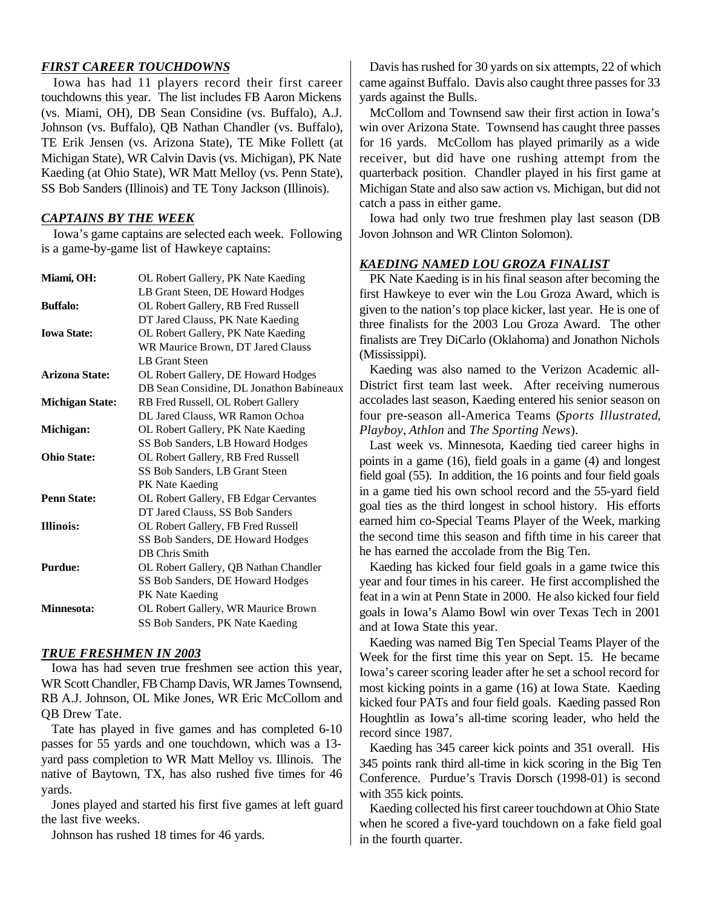#### *FIRST CAREER TOUCHDOWNS*

Iowa has had 11 players record their first career touchdowns this year. The list includes FB Aaron Mickens (vs. Miami, OH), DB Sean Considine (vs. Buffalo), A.J. Johnson (vs. Buffalo), QB Nathan Chandler (vs. Buffalo), TE Erik Jensen (vs. Arizona State), TE Mike Follett (at Michigan State), WR Calvin Davis (vs. Michigan), PK Nate Kaeding (at Ohio State), WR Matt Melloy (vs. Penn State), SS Bob Sanders (Illinois) and TE Tony Jackson (Illinois).

#### *CAPTAINS BY THE WEEK*

Iowa's game captains are selected each week. Following is a game-by-game list of Hawkeye captains:

| Miami, OH:             | OL Robert Gallery, PK Nate Kaeding       |
|------------------------|------------------------------------------|
|                        | LB Grant Steen, DE Howard Hodges         |
| <b>Buffalo:</b>        | OL Robert Gallery, RB Fred Russell       |
|                        | DT Jared Clauss, PK Nate Kaeding         |
| <b>Iowa State:</b>     | OL Robert Gallery, PK Nate Kaeding       |
|                        | WR Maurice Brown, DT Jared Clauss        |
|                        | <b>LB</b> Grant Steen                    |
| <b>Arizona State:</b>  | OL Robert Gallery, DE Howard Hodges      |
|                        | DB Sean Considine, DL Jonathon Babineaux |
| <b>Michigan State:</b> | RB Fred Russell, OL Robert Gallery       |
|                        | DL Jared Clauss, WR Ramon Ochoa          |
| Michigan:              | OL Robert Gallery, PK Nate Kaeding       |
|                        | SS Bob Sanders, LB Howard Hodges         |
| <b>Ohio State:</b>     | OL Robert Gallery, RB Fred Russell       |
|                        | SS Bob Sanders, LB Grant Steen           |
|                        | PK Nate Kaeding                          |
| <b>Penn State:</b>     | OL Robert Gallery, FB Edgar Cervantes    |
|                        | DT Jared Clauss, SS Bob Sanders          |
| <b>Illinois:</b>       | OL Robert Gallery, FB Fred Russell       |
|                        | SS Bob Sanders, DE Howard Hodges         |
|                        | DB Chris Smith                           |
| <b>Purdue:</b>         | OL Robert Gallery, QB Nathan Chandler    |
|                        | SS Bob Sanders, DE Howard Hodges         |
|                        | PK Nate Kaeding                          |
| <b>Minnesota:</b>      | OL Robert Gallery, WR Maurice Brown      |
|                        | SS Bob Sanders, PK Nate Kaeding          |

#### *TRUE FRESHMEN IN 2003*

Iowa has had seven true freshmen see action this year, WR Scott Chandler, FB Champ Davis, WR James Townsend, RB A.J. Johnson, OL Mike Jones, WR Eric McCollom and QB Drew Tate.

Tate has played in five games and has completed 6-10 passes for 55 yards and one touchdown, which was a 13 yard pass completion to WR Matt Melloy vs. Illinois. The native of Baytown, TX, has also rushed five times for 46 yards.

Jones played and started his first five games at left guard the last five weeks.

Johnson has rushed 18 times for 46 yards.

Davis has rushed for 30 yards on six attempts, 22 of which came against Buffalo. Davis also caught three passes for 33 yards against the Bulls.

McCollom and Townsend saw their first action in Iowa's win over Arizona State. Townsend has caught three passes for 16 yards. McCollom has played primarily as a wide receiver, but did have one rushing attempt from the quarterback position. Chandler played in his first game at Michigan State and also saw action vs. Michigan, but did not catch a pass in either game.

Iowa had only two true freshmen play last season (DB Jovon Johnson and WR Clinton Solomon).

#### *KAEDING NAMED LOU GROZA FINALIST*

PK Nate Kaeding is in his final season after becoming the first Hawkeye to ever win the Lou Groza Award, which is given to the nation's top place kicker, last year. He is one of three finalists for the 2003 Lou Groza Award. The other finalists are Trey DiCarlo (Oklahoma) and Jonathon Nichols (Mississippi).

Kaeding was also named to the Verizon Academic all-District first team last week. After receiving numerous accolades last season, Kaeding entered his senior season on four pre-season all-America Teams (*Sports Illustrated*, *Playboy*, *Athlon* and *The Sporting News*).

Last week vs. Minnesota, Kaeding tied career highs in points in a game (16), field goals in a game (4) and longest field goal (55). In addition, the 16 points and four field goals in a game tied his own school record and the 55-yard field goal ties as the third longest in school history. His efforts earned him co-Special Teams Player of the Week, marking the second time this season and fifth time in his career that he has earned the accolade from the Big Ten.

Kaeding has kicked four field goals in a game twice this year and four times in his career. He first accomplished the feat in a win at Penn State in 2000. He also kicked four field goals in Iowa's Alamo Bowl win over Texas Tech in 2001 and at Iowa State this year.

Kaeding was named Big Ten Special Teams Player of the Week for the first time this year on Sept. 15. He became Iowa's career scoring leader after he set a school record for most kicking points in a game (16) at Iowa State. Kaeding kicked four PATs and four field goals. Kaeding passed Ron Houghtlin as Iowa's all-time scoring leader, who held the record since 1987.

Kaeding has 345 career kick points and 351 overall. His 345 points rank third all-time in kick scoring in the Big Ten Conference. Purdue's Travis Dorsch (1998-01) is second with 355 kick points.

Kaeding collected his first career touchdown at Ohio State when he scored a five-yard touchdown on a fake field goal in the fourth quarter.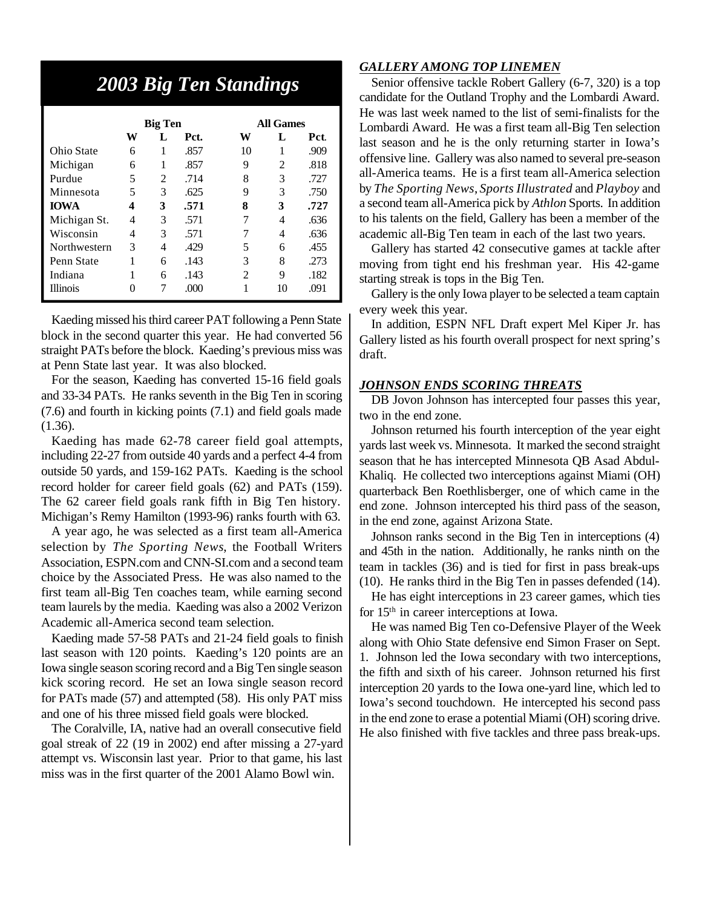## *2003 Big Ten Standings*

|                 | <b>Big Ten</b> |   |      | <b>All Games</b> |                |      |  |
|-----------------|----------------|---|------|------------------|----------------|------|--|
|                 | W              | L | Pct. | w                | L              | Pct. |  |
| Ohio State      | 6              | 1 | .857 | 10               |                | .909 |  |
| Michigan        | 6              | 1 | .857 | 9                | $\overline{c}$ | .818 |  |
| Purdue          | 5              | 2 | .714 | 8                | 3              | .727 |  |
| Minnesota       | 5              | 3 | .625 | 9                | 3              | .750 |  |
| <b>IOWA</b>     | 4              | 3 | .571 | 8                | 3              | .727 |  |
| Michigan St.    | 4              | 3 | .571 | 7                | 4              | .636 |  |
| Wisconsin       | 4              | 3 | .571 |                  | 4              | .636 |  |
| Northwestern    | 3              | 4 | .429 | 5                | 6              | .455 |  |
| Penn State      | 1              | 6 | .143 | 3                | 8              | .273 |  |
| Indiana         |                | 6 | .143 | $\mathfrak{D}$   | 9              | .182 |  |
| <b>Illinois</b> | 0              | 7 | .000 |                  | 10             | .091 |  |

Kaeding missed his third career PAT following a Penn State block in the second quarter this year. He had converted 56 straight PATs before the block. Kaeding's previous miss was at Penn State last year. It was also blocked.

For the season, Kaeding has converted 15-16 field goals and 33-34 PATs. He ranks seventh in the Big Ten in scoring (7.6) and fourth in kicking points (7.1) and field goals made (1.36).

Kaeding has made 62-78 career field goal attempts, including 22-27 from outside 40 yards and a perfect 4-4 from outside 50 yards, and 159-162 PATs. Kaeding is the school record holder for career field goals (62) and PATs (159). The 62 career field goals rank fifth in Big Ten history. Michigan's Remy Hamilton (1993-96) ranks fourth with 63.

A year ago, he was selected as a first team all-America selection by *The Sporting News*, the Football Writers Association, ESPN.com and CNN-SI.com and a second team choice by the Associated Press. He was also named to the first team all-Big Ten coaches team, while earning second team laurels by the media. Kaeding was also a 2002 Verizon Academic all-America second team selection.

Kaeding made 57-58 PATs and 21-24 field goals to finish last season with 120 points. Kaeding's 120 points are an Iowa single season scoring record and a Big Ten single season kick scoring record. He set an Iowa single season record for PATs made (57) and attempted (58). His only PAT miss and one of his three missed field goals were blocked.

The Coralville, IA, native had an overall consecutive field goal streak of 22 (19 in 2002) end after missing a 27-yard attempt vs. Wisconsin last year. Prior to that game, his last miss was in the first quarter of the 2001 Alamo Bowl win.

#### *GALLERY AMONG TOP LINEMEN*

Senior offensive tackle Robert Gallery (6-7, 320) is a top candidate for the Outland Trophy and the Lombardi Award. He was last week named to the list of semi-finalists for the Lombardi Award. He was a first team all-Big Ten selection last season and he is the only returning starter in Iowa's offensive line. Gallery was also named to several pre-season all-America teams. He is a first team all-America selection by *The Sporting News*, *Sports Illustrated* and *Playboy* and a second team all-America pick by *Athlon* Sports. In addition to his talents on the field, Gallery has been a member of the academic all-Big Ten team in each of the last two years.

Gallery has started 42 consecutive games at tackle after moving from tight end his freshman year. His 42-game starting streak is tops in the Big Ten.

Gallery is the only Iowa player to be selected a team captain every week this year.

In addition, ESPN NFL Draft expert Mel Kiper Jr. has Gallery listed as his fourth overall prospect for next spring's draft.

#### *JOHNSON ENDS SCORING THREATS*

DB Jovon Johnson has intercepted four passes this year, two in the end zone.

Johnson returned his fourth interception of the year eight yards last week vs. Minnesota. It marked the second straight season that he has intercepted Minnesota QB Asad Abdul-Khaliq. He collected two interceptions against Miami (OH) quarterback Ben Roethlisberger, one of which came in the end zone. Johnson intercepted his third pass of the season, in the end zone, against Arizona State.

Johnson ranks second in the Big Ten in interceptions (4) and 45th in the nation. Additionally, he ranks ninth on the team in tackles (36) and is tied for first in pass break-ups (10). He ranks third in the Big Ten in passes defended (14).

He has eight interceptions in 23 career games, which ties for 15th in career interceptions at Iowa.

He was named Big Ten co-Defensive Player of the Week along with Ohio State defensive end Simon Fraser on Sept. 1. Johnson led the Iowa secondary with two interceptions, the fifth and sixth of his career. Johnson returned his first interception 20 yards to the Iowa one-yard line, which led to Iowa's second touchdown. He intercepted his second pass in the end zone to erase a potential Miami (OH) scoring drive. He also finished with five tackles and three pass break-ups.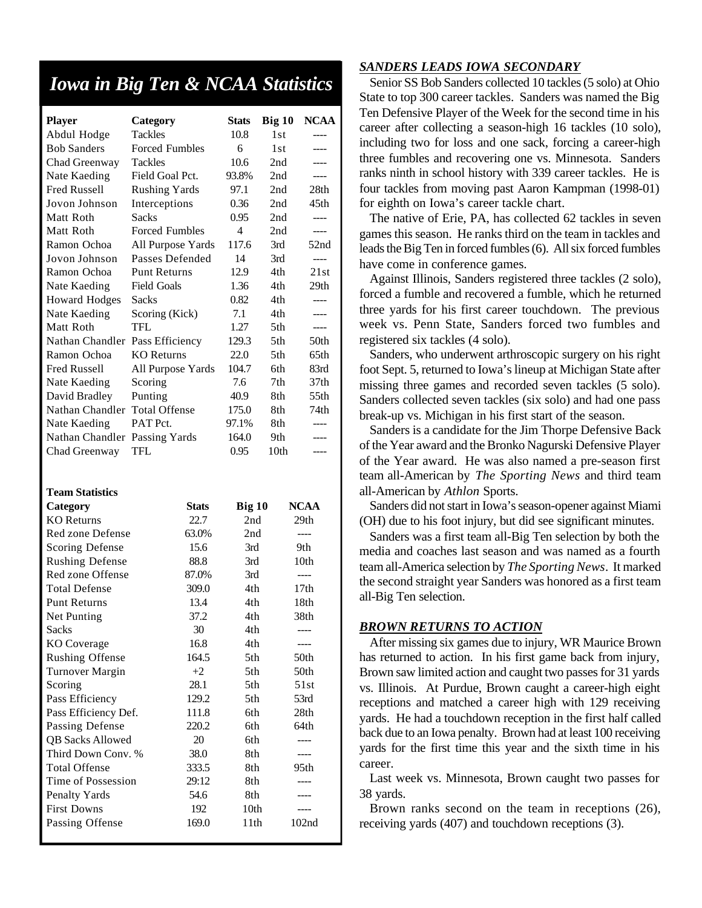## *Iowa in Big Ten & NCAA Statistics*

| <b>Player</b>                     | Category                         | <b>Stats</b> | Big 10     | <b>NCAA</b>       |
|-----------------------------------|----------------------------------|--------------|------------|-------------------|
| Abdul Hodge<br><b>Bob Sanders</b> | Tackles<br><b>Forced Fumbles</b> | 10.8<br>6    | 1st<br>1st | ----<br>----      |
|                                   | <b>Tackles</b>                   | 10.6         | 2nd        | ----              |
| Chad Greenway<br>Nate Kaeding     | Field Goal Pct.                  | 93.8%        | 2nd        | $---$             |
| <b>Fred Russell</b>               | <b>Rushing Yards</b>             | 97.1         | 2nd        | 28th              |
| Jovon Johnson                     | Interceptions                    | 0.36         | 2nd        | 45th              |
| Matt Roth                         | <b>Sacks</b>                     | 0.95         | 2nd        | ----              |
| Matt Roth                         | <b>Forced Fumbles</b>            | 4            | 2nd        | ----              |
| Ramon Ochoa                       | All Purpose Yards                | 117.6        | 3rd        | 52nd              |
| Jovon Johnson                     | Passes Defended                  | 14           | 3rd        | $---$             |
| Ramon Ochoa                       | <b>Punt Returns</b>              | 12.9         | 4th        | 21st              |
| Nate Kaeding                      | <b>Field Goals</b>               | 1.36         | 4th        | 29th              |
| <b>Howard Hodges</b>              | Sacks                            | 0.82         | 4th        | $---$             |
| Nate Kaeding                      | Scoring (Kick)                   | 7.1          | 4th        | ----              |
| Matt Roth                         | TFL                              | 1.27         | 5th        | $---$             |
| Nathan Chandler                   | Pass Efficiency                  | 129.3        | 5th        | 50th              |
| Ramon Ochoa                       | KO Returns                       | 22.0         | 5th        | 65th              |
| <b>Fred Russell</b>               | All Purpose Yards                | 104.7        | 6th        | 83rd              |
| Nate Kaeding                      | Scoring                          | 7.6          | 7th        | 37th              |
| David Bradley                     | Punting                          | 40.9         | 8th        | 55th              |
| Nathan Chandler                   | <b>Total Offense</b>             | 175.0        | 8th        | 74th              |
| Nate Kaeding                      | PAT Pct.                         | 97.1%        | 8th        | ----              |
| Nathan Chandler                   | Passing Yards                    | 164.0        | 9th        | ----              |
| Chad Greenway                     | TFL                              | 0.95         | 10th       | ----              |
| <b>Team Statistics</b>            |                                  |              |            |                   |
| Category                          | <b>Stats</b>                     | Big 10       |            | <b>NCAA</b>       |
| <b>KO</b> Returns                 | 22.7                             | 2nd          |            | 29th              |
| Red zone Defense                  | 63.0%                            | 2nd          |            | $---$             |
| <b>Scoring Defense</b>            | 15.6                             | 3rd          |            | 9th               |
| <b>Rushing Defense</b>            | 88.8                             | 3rd          |            | 10th              |
| Red zone Offense                  | 87.0%                            | 3rd          |            | ----              |
| <b>Total Defense</b>              | 309.0                            | 4th          |            | 17th              |
| <b>Punt Returns</b>               | 13.4                             | 4th          |            | 18th              |
| Net Punting                       | 37.2                             | 4th          |            | 38th              |
| <b>Sacks</b>                      | 30                               | 4th          |            |                   |
| <b>KO</b> Coverage                | 16.8                             | 4th          |            |                   |
| <b>Rushing Offense</b>            | 164.5                            | 5th          |            | 50th              |
| Turnover Margin                   | $+2$                             | 5th          |            | 50th              |
| Scoring                           | 28.1                             | 5th          |            | 51st              |
| Pass Efficiency                   | 129.2                            | 5th          |            | 53rd              |
| Pass Efficiency Def.              | 111.8                            | 6th          |            | 28th              |
| Passing Defense                   | 220.2                            | 6th          |            | 64th              |
| <b>QB Sacks Allowed</b>           | 20                               | 6th          |            | ----              |
| Third Down Conv. %                | 38.0                             | 8th          |            | ----              |
| <b>Total Offense</b>              | 333.5                            | 8th          |            | 95th              |
| Time of Possession                | 29:12                            | 8th          |            |                   |
| Penalty Yards                     | 54.6                             | 8th          |            |                   |
| <b>First Downs</b>                | 192                              | 10th         |            |                   |
| Passing Offense                   | 169.0                            | 11th         |            | 102 <sub>nd</sub> |

#### *SANDERS LEADS IOWA SECONDARY*

Senior SS Bob Sanders collected 10 tackles (5 solo) at Ohio State to top 300 career tackles. Sanders was named the Big Ten Defensive Player of the Week for the second time in his career after collecting a season-high 16 tackles (10 solo), including two for loss and one sack, forcing a career-high three fumbles and recovering one vs. Minnesota. Sanders ranks ninth in school history with 339 career tackles. He is four tackles from moving past Aaron Kampman (1998-01) for eighth on Iowa's career tackle chart.

The native of Erie, PA, has collected 62 tackles in seven games this season. He ranks third on the team in tackles and leads the Big Ten in forced fumbles (6). All six forced fumbles have come in conference games.

Against Illinois, Sanders registered three tackles (2 solo), forced a fumble and recovered a fumble, which he returned three yards for his first career touchdown. The previous week vs. Penn State, Sanders forced two fumbles and registered six tackles (4 solo).

Sanders, who underwent arthroscopic surgery on his right foot Sept. 5, returned to Iowa's lineup at Michigan State after missing three games and recorded seven tackles (5 solo). Sanders collected seven tackles (six solo) and had one pass break-up vs. Michigan in his first start of the season.

Sanders is a candidate for the Jim Thorpe Defensive Back of the Year award and the Bronko Nagurski Defensive Player of the Year award. He was also named a pre-season first team all-American by *The Sporting News* and third team all-American by *Athlon* Sports.

Sanders did not start in Iowa's season-opener against Miami (OH) due to his foot injury, but did see significant minutes.

Sanders was a first team all-Big Ten selection by both the media and coaches last season and was named as a fourth team all-America selection by *The Sporting News*. It marked the second straight year Sanders was honored as a first team all-Big Ten selection.

#### *BROWN RETURNS TO ACTION*

After missing six games due to injury, WR Maurice Brown has returned to action. In his first game back from injury, Brown saw limited action and caught two passes for 31 yards vs. Illinois. At Purdue, Brown caught a career-high eight receptions and matched a career high with 129 receiving yards. He had a touchdown reception in the first half called back due to an Iowa penalty. Brown had at least 100 receiving yards for the first time this year and the sixth time in his career.

Last week vs. Minnesota, Brown caught two passes for 38 yards.

Brown ranks second on the team in receptions (26), receiving yards (407) and touchdown receptions (3).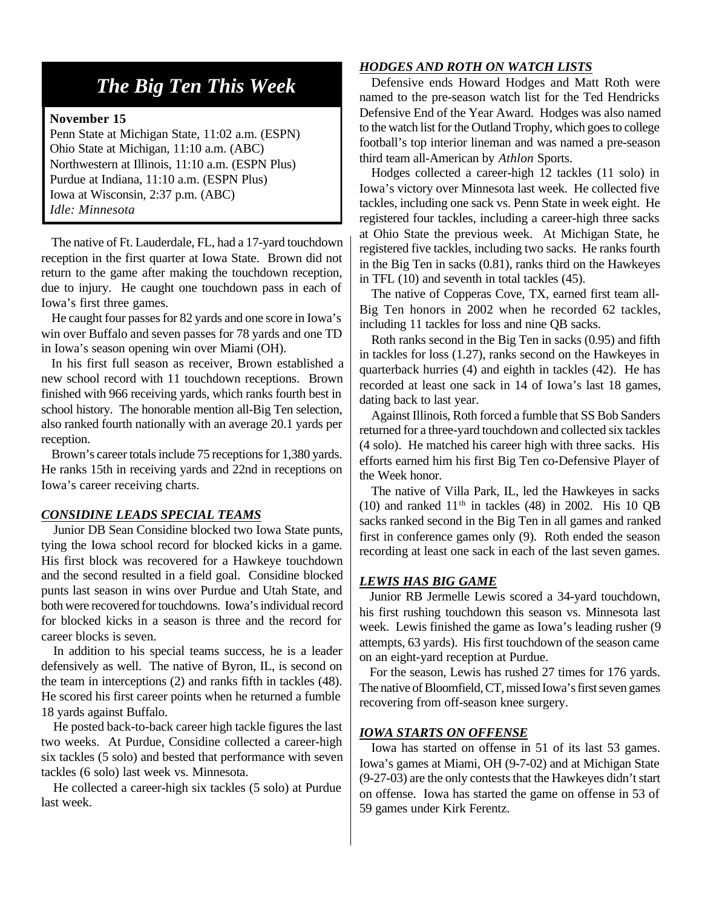## *The Big Ten This Week*

#### **November 15**

Penn State at Michigan State, 11:02 a.m. (ESPN) Ohio State at Michigan, 11:10 a.m. (ABC) Northwestern at Illinois, 11:10 a.m. (ESPN Plus) Purdue at Indiana, 11:10 a.m. (ESPN Plus) Iowa at Wisconsin, 2:37 p.m. (ABC) *Idle: Minnesota*

The native of Ft. Lauderdale, FL, had a 17-yard touchdown reception in the first quarter at Iowa State. Brown did not return to the game after making the touchdown reception, due to injury. He caught one touchdown pass in each of Iowa's first three games.

He caught four passes for 82 yards and one score in Iowa's win over Buffalo and seven passes for 78 yards and one TD in Iowa's season opening win over Miami (OH).

In his first full season as receiver, Brown established a new school record with 11 touchdown receptions. Brown finished with 966 receiving yards, which ranks fourth best in school history. The honorable mention all-Big Ten selection, also ranked fourth nationally with an average 20.1 yards per reception.

Brown's career totals include 75 receptions for 1,380 yards. He ranks 15th in receiving yards and 22nd in receptions on Iowa's career receiving charts.

#### *CONSIDINE LEADS SPECIAL TEAMS*

Junior DB Sean Considine blocked two Iowa State punts, tying the Iowa school record for blocked kicks in a game. His first block was recovered for a Hawkeye touchdown and the second resulted in a field goal. Considine blocked punts last season in wins over Purdue and Utah State, and both were recovered for touchdowns. Iowa's individual record for blocked kicks in a season is three and the record for career blocks is seven.

In addition to his special teams success, he is a leader defensively as well. The native of Byron, IL, is second on the team in interceptions (2) and ranks fifth in tackles (48). He scored his first career points when he returned a fumble 18 yards against Buffalo.

He posted back-to-back career high tackle figures the last two weeks. At Purdue, Considine collected a career-high six tackles (5 solo) and bested that performance with seven tackles (6 solo) last week vs. Minnesota.

He collected a career-high six tackles (5 solo) at Purdue last week.

#### *HODGES AND ROTH ON WATCH LISTS*

Defensive ends Howard Hodges and Matt Roth were named to the pre-season watch list for the Ted Hendricks Defensive End of the Year Award. Hodges was also named to the watch list for the Outland Trophy, which goes to college football's top interior lineman and was named a pre-season third team all-American by *Athlon* Sports.

Hodges collected a career-high 12 tackles (11 solo) in Iowa's victory over Minnesota last week. He collected five tackles, including one sack vs. Penn State in week eight. He registered four tackles, including a career-high three sacks at Ohio State the previous week. At Michigan State, he registered five tackles, including two sacks. He ranks fourth in the Big Ten in sacks (0.81), ranks third on the Hawkeyes in TFL (10) and seventh in total tackles (45).

The native of Copperas Cove, TX, earned first team all-Big Ten honors in 2002 when he recorded 62 tackles, including 11 tackles for loss and nine QB sacks.

Roth ranks second in the Big Ten in sacks (0.95) and fifth in tackles for loss (1.27), ranks second on the Hawkeyes in quarterback hurries (4) and eighth in tackles (42). He has recorded at least one sack in 14 of Iowa's last 18 games, dating back to last year.

Against Illinois, Roth forced a fumble that SS Bob Sanders returned for a three-yard touchdown and collected six tackles (4 solo). He matched his career high with three sacks. His efforts earned him his first Big Ten co-Defensive Player of the Week honor.

The native of Villa Park, IL, led the Hawkeyes in sacks (10) and ranked  $11<sup>th</sup>$  in tackles (48) in 2002. His 10 QB sacks ranked second in the Big Ten in all games and ranked first in conference games only (9). Roth ended the season recording at least one sack in each of the last seven games.

#### *LEWIS HAS BIG GAME*

Junior RB Jermelle Lewis scored a 34-yard touchdown, his first rushing touchdown this season vs. Minnesota last week. Lewis finished the game as Iowa's leading rusher (9 attempts, 63 yards). His first touchdown of the season came on an eight-yard reception at Purdue.

For the season, Lewis has rushed 27 times for 176 yards. The native of Bloomfield, CT, missed Iowa's first seven games recovering from off-season knee surgery.

#### *IOWA STARTS ON OFFENSE*

Iowa has started on offense in 51 of its last 53 games. Iowa's games at Miami, OH (9-7-02) and at Michigan State (9-27-03) are the only contests that the Hawkeyes didn't start on offense. Iowa has started the game on offense in 53 of 59 games under Kirk Ferentz.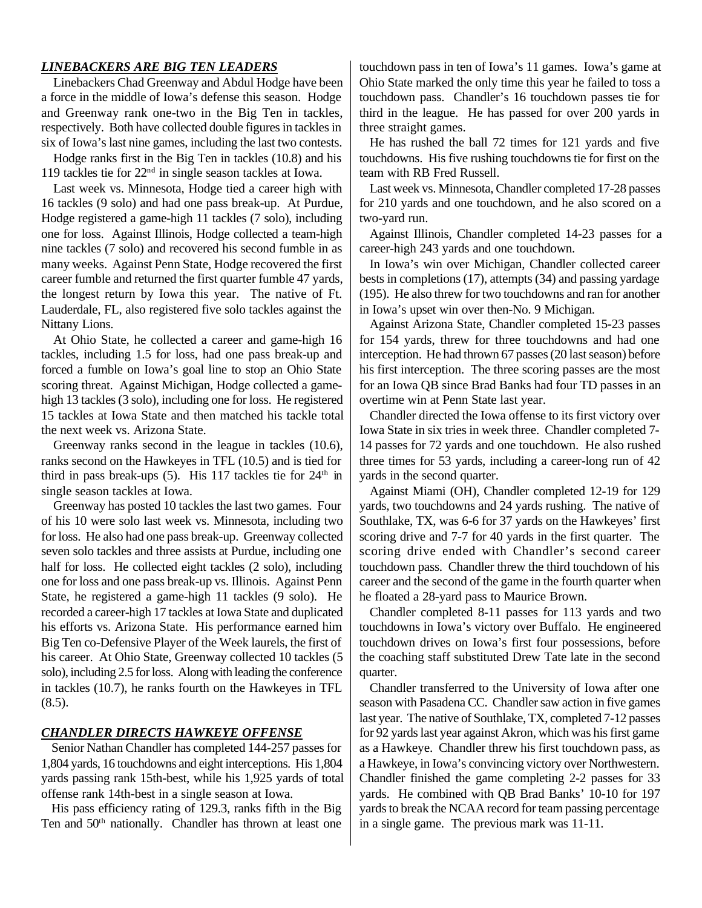#### *LINEBACKERS ARE BIG TEN LEADERS*

Linebackers Chad Greenway and Abdul Hodge have been a force in the middle of Iowa's defense this season. Hodge and Greenway rank one-two in the Big Ten in tackles, respectively. Both have collected double figures in tackles in six of Iowa's last nine games, including the last two contests.

Hodge ranks first in the Big Ten in tackles (10.8) and his 119 tackles tie for 22nd in single season tackles at Iowa.

Last week vs. Minnesota, Hodge tied a career high with 16 tackles (9 solo) and had one pass break-up. At Purdue, Hodge registered a game-high 11 tackles (7 solo), including one for loss. Against Illinois, Hodge collected a team-high nine tackles (7 solo) and recovered his second fumble in as many weeks. Against Penn State, Hodge recovered the first career fumble and returned the first quarter fumble 47 yards, the longest return by Iowa this year. The native of Ft. Lauderdale, FL, also registered five solo tackles against the Nittany Lions.

At Ohio State, he collected a career and game-high 16 tackles, including 1.5 for loss, had one pass break-up and forced a fumble on Iowa's goal line to stop an Ohio State scoring threat. Against Michigan, Hodge collected a gamehigh 13 tackles (3 solo), including one for loss. He registered 15 tackles at Iowa State and then matched his tackle total the next week vs. Arizona State.

Greenway ranks second in the league in tackles (10.6), ranks second on the Hawkeyes in TFL (10.5) and is tied for third in pass break-ups (5). His 117 tackles tie for 24<sup>th</sup> in single season tackles at Iowa.

Greenway has posted 10 tackles the last two games. Four of his 10 were solo last week vs. Minnesota, including two for loss. He also had one pass break-up. Greenway collected seven solo tackles and three assists at Purdue, including one half for loss. He collected eight tackles (2 solo), including one for loss and one pass break-up vs. Illinois. Against Penn State, he registered a game-high 11 tackles (9 solo). He recorded a career-high 17 tackles at Iowa State and duplicated his efforts vs. Arizona State. His performance earned him Big Ten co-Defensive Player of the Week laurels, the first of his career. At Ohio State, Greenway collected 10 tackles (5 solo), including 2.5 for loss. Along with leading the conference in tackles (10.7), he ranks fourth on the Hawkeyes in TFL  $(8.5)$ .

#### *CHANDLER DIRECTS HAWKEYE OFFENSE*

Senior Nathan Chandler has completed 144-257 passes for 1,804 yards, 16 touchdowns and eight interceptions. His 1,804 yards passing rank 15th-best, while his 1,925 yards of total offense rank 14th-best in a single season at Iowa.

His pass efficiency rating of 129.3, ranks fifth in the Big Ten and 50th nationally. Chandler has thrown at least one touchdown pass in ten of Iowa's 11 games. Iowa's game at Ohio State marked the only time this year he failed to toss a touchdown pass. Chandler's 16 touchdown passes tie for third in the league. He has passed for over 200 yards in three straight games.

He has rushed the ball 72 times for 121 yards and five touchdowns. His five rushing touchdowns tie for first on the team with RB Fred Russell.

Last week vs. Minnesota, Chandler completed 17-28 passes for 210 yards and one touchdown, and he also scored on a two-yard run.

Against Illinois, Chandler completed 14-23 passes for a career-high 243 yards and one touchdown.

In Iowa's win over Michigan, Chandler collected career bests in completions (17), attempts (34) and passing yardage (195). He also threw for two touchdowns and ran for another in Iowa's upset win over then-No. 9 Michigan.

Against Arizona State, Chandler completed 15-23 passes for 154 yards, threw for three touchdowns and had one interception. He had thrown 67 passes (20 last season) before his first interception. The three scoring passes are the most for an Iowa QB since Brad Banks had four TD passes in an overtime win at Penn State last year.

Chandler directed the Iowa offense to its first victory over Iowa State in six tries in week three. Chandler completed 7- 14 passes for 72 yards and one touchdown. He also rushed three times for 53 yards, including a career-long run of 42 yards in the second quarter.

Against Miami (OH), Chandler completed 12-19 for 129 yards, two touchdowns and 24 yards rushing. The native of Southlake, TX, was 6-6 for 37 yards on the Hawkeyes' first scoring drive and 7-7 for 40 yards in the first quarter. The scoring drive ended with Chandler's second career touchdown pass. Chandler threw the third touchdown of his career and the second of the game in the fourth quarter when he floated a 28-yard pass to Maurice Brown.

Chandler completed 8-11 passes for 113 yards and two touchdowns in Iowa's victory over Buffalo. He engineered touchdown drives on Iowa's first four possessions, before the coaching staff substituted Drew Tate late in the second quarter.

Chandler transferred to the University of Iowa after one season with Pasadena CC. Chandler saw action in five games last year. The native of Southlake, TX, completed 7-12 passes for 92 yards last year against Akron, which was his first game as a Hawkeye. Chandler threw his first touchdown pass, as a Hawkeye, in Iowa's convincing victory over Northwestern. Chandler finished the game completing 2-2 passes for 33 yards. He combined with QB Brad Banks' 10-10 for 197 yards to break the NCAA record for team passing percentage in a single game. The previous mark was 11-11.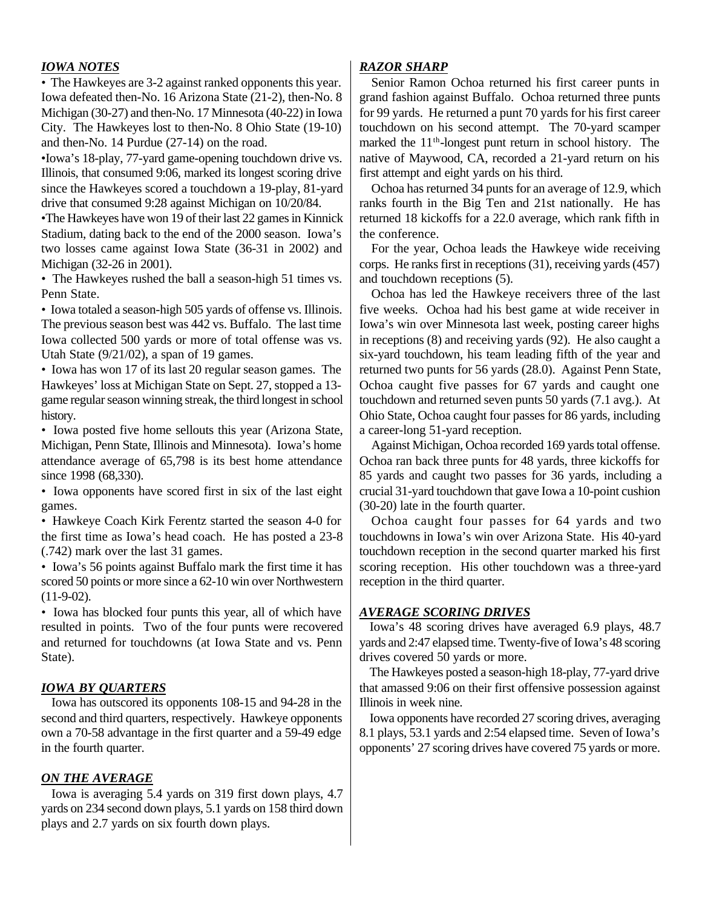#### *IOWA NOTES*

*•* The Hawkeyes are 3-2 against ranked opponents this year. Iowa defeated then-No. 16 Arizona State (21-2), then-No. 8 Michigan (30-27) and then-No. 17 Minnesota (40-22) in Iowa City. The Hawkeyes lost to then-No. 8 Ohio State (19-10) and then-No. 14 Purdue (27-14) on the road.

•Iowa's 18-play, 77-yard game-opening touchdown drive vs. Illinois, that consumed 9:06, marked its longest scoring drive since the Hawkeyes scored a touchdown a 19-play, 81-yard drive that consumed 9:28 against Michigan on 10/20/84.

•The Hawkeyes have won 19 of their last 22 games in Kinnick Stadium, dating back to the end of the 2000 season. Iowa's two losses came against Iowa State (36-31 in 2002) and Michigan (32-26 in 2001).

*•* The Hawkeyes rushed the ball a season-high 51 times vs. Penn State.

*•* Iowa totaled a season-high 505 yards of offense vs. Illinois. The previous season best was 442 vs. Buffalo. The last time Iowa collected 500 yards or more of total offense was vs. Utah State (9/21/02), a span of 19 games.

*•* Iowa has won 17 of its last 20 regular season games. The Hawkeyes' loss at Michigan State on Sept. 27, stopped a 13 game regular season winning streak, the third longest in school history.

*•* Iowa posted five home sellouts this year (Arizona State, Michigan, Penn State, Illinois and Minnesota). Iowa's home attendance average of 65,798 is its best home attendance since 1998 (68,330).

*•* Iowa opponents have scored first in six of the last eight games.

*•* Hawkeye Coach Kirk Ferentz started the season 4-0 for the first time as Iowa's head coach. He has posted a 23-8 (.742) mark over the last 31 games.

*•* Iowa's 56 points against Buffalo mark the first time it has scored 50 points or more since a 62-10 win over Northwestern (11-9-02).

*•* Iowa has blocked four punts this year, all of which have resulted in points. Two of the four punts were recovered and returned for touchdowns (at Iowa State and vs. Penn State).

#### *IOWA BY QUARTERS*

Iowa has outscored its opponents 108-15 and 94-28 in the second and third quarters, respectively. Hawkeye opponents own a 70-58 advantage in the first quarter and a 59-49 edge in the fourth quarter.

#### *ON THE AVERAGE*

Iowa is averaging 5.4 yards on 319 first down plays, 4.7 yards on 234 second down plays, 5.1 yards on 158 third down plays and 2.7 yards on six fourth down plays.

#### *RAZOR SHARP*

Senior Ramon Ochoa returned his first career punts in grand fashion against Buffalo. Ochoa returned three punts for 99 yards. He returned a punt 70 yards for his first career touchdown on his second attempt. The 70-yard scamper marked the 11<sup>th</sup>-longest punt return in school history. The native of Maywood, CA, recorded a 21-yard return on his first attempt and eight yards on his third.

Ochoa has returned 34 punts for an average of 12.9, which ranks fourth in the Big Ten and 21st nationally. He has returned 18 kickoffs for a 22.0 average, which rank fifth in the conference.

For the year, Ochoa leads the Hawkeye wide receiving corps. He ranks first in receptions (31), receiving yards (457) and touchdown receptions (5).

Ochoa has led the Hawkeye receivers three of the last five weeks. Ochoa had his best game at wide receiver in Iowa's win over Minnesota last week, posting career highs in receptions (8) and receiving yards (92). He also caught a six-yard touchdown, his team leading fifth of the year and returned two punts for 56 yards (28.0). Against Penn State, Ochoa caught five passes for 67 yards and caught one touchdown and returned seven punts 50 yards (7.1 avg.). At Ohio State, Ochoa caught four passes for 86 yards, including a career-long 51-yard reception.

Against Michigan, Ochoa recorded 169 yards total offense. Ochoa ran back three punts for 48 yards, three kickoffs for 85 yards and caught two passes for 36 yards, including a crucial 31-yard touchdown that gave Iowa a 10-point cushion (30-20) late in the fourth quarter.

Ochoa caught four passes for 64 yards and two touchdowns in Iowa's win over Arizona State. His 40-yard touchdown reception in the second quarter marked his first scoring reception. His other touchdown was a three-yard reception in the third quarter.

#### *AVERAGE SCORING DRIVES*

Iowa's 48 scoring drives have averaged 6.9 plays, 48.7 yards and 2:47 elapsed time. Twenty-five of Iowa's 48 scoring drives covered 50 yards or more.

The Hawkeyes posted a season-high 18-play, 77-yard drive that amassed 9:06 on their first offensive possession against Illinois in week nine.

Iowa opponents have recorded 27 scoring drives, averaging 8.1 plays, 53.1 yards and 2:54 elapsed time. Seven of Iowa's opponents' 27 scoring drives have covered 75 yards or more.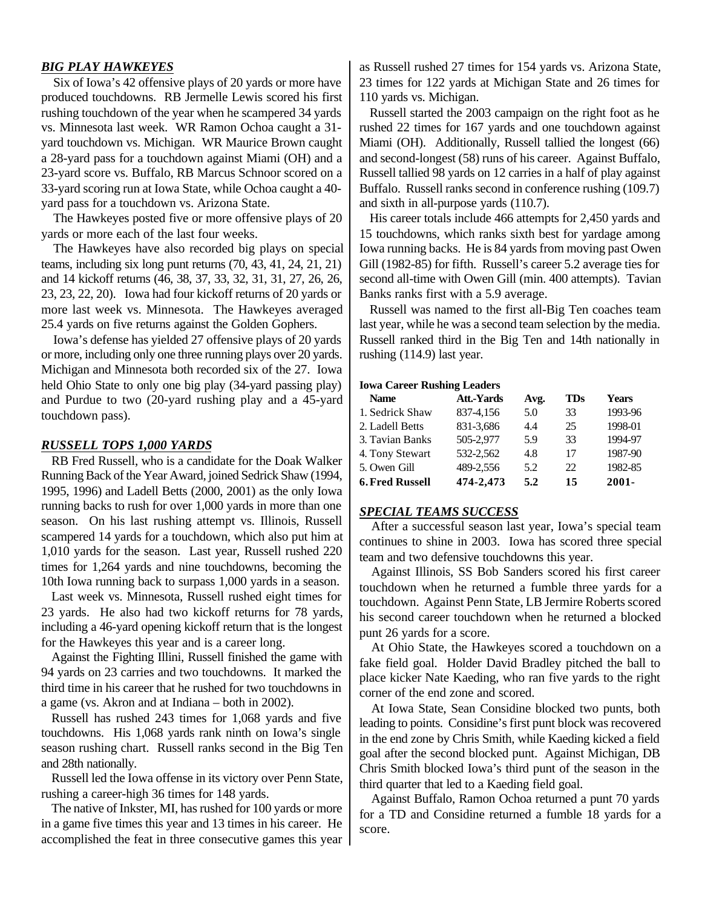#### *BIG PLAY HAWKEYES*

Six of Iowa's 42 offensive plays of 20 yards or more have produced touchdowns. RB Jermelle Lewis scored his first rushing touchdown of the year when he scampered 34 yards vs. Minnesota last week. WR Ramon Ochoa caught a 31 yard touchdown vs. Michigan. WR Maurice Brown caught a 28-yard pass for a touchdown against Miami (OH) and a 23-yard score vs. Buffalo, RB Marcus Schnoor scored on a 33-yard scoring run at Iowa State, while Ochoa caught a 40 yard pass for a touchdown vs. Arizona State.

The Hawkeyes posted five or more offensive plays of 20 yards or more each of the last four weeks.

The Hawkeyes have also recorded big plays on special teams, including six long punt returns (70, 43, 41, 24, 21, 21) and 14 kickoff returns (46, 38, 37, 33, 32, 31, 31, 27, 26, 26, 23, 23, 22, 20). Iowa had four kickoff returns of 20 yards or more last week vs. Minnesota. The Hawkeyes averaged 25.4 yards on five returns against the Golden Gophers.

Iowa's defense has yielded 27 offensive plays of 20 yards or more, including only one three running plays over 20 yards. Michigan and Minnesota both recorded six of the 27. Iowa held Ohio State to only one big play (34-yard passing play) and Purdue to two (20-yard rushing play and a 45-yard touchdown pass).

#### *RUSSELL TOPS 1,000 YARDS*

RB Fred Russell, who is a candidate for the Doak Walker Running Back of the Year Award, joined Sedrick Shaw (1994, 1995, 1996) and Ladell Betts (2000, 2001) as the only Iowa running backs to rush for over 1,000 yards in more than one season. On his last rushing attempt vs. Illinois, Russell scampered 14 yards for a touchdown, which also put him at 1,010 yards for the season. Last year, Russell rushed 220 times for 1,264 yards and nine touchdowns, becoming the 10th Iowa running back to surpass 1,000 yards in a season.

Last week vs. Minnesota, Russell rushed eight times for 23 yards. He also had two kickoff returns for 78 yards, including a 46-yard opening kickoff return that is the longest for the Hawkeyes this year and is a career long.

Against the Fighting Illini, Russell finished the game with 94 yards on 23 carries and two touchdowns. It marked the third time in his career that he rushed for two touchdowns in a game (vs. Akron and at Indiana – both in 2002).

Russell has rushed 243 times for 1,068 yards and five touchdowns. His 1,068 yards rank ninth on Iowa's single season rushing chart. Russell ranks second in the Big Ten and 28th nationally.

Russell led the Iowa offense in its victory over Penn State, rushing a career-high 36 times for 148 yards.

The native of Inkster, MI, has rushed for 100 yards or more in a game five times this year and 13 times in his career. He accomplished the feat in three consecutive games this year as Russell rushed 27 times for 154 yards vs. Arizona State, 23 times for 122 yards at Michigan State and 26 times for 110 yards vs. Michigan.

Russell started the 2003 campaign on the right foot as he rushed 22 times for 167 yards and one touchdown against Miami (OH). Additionally, Russell tallied the longest (66) and second-longest (58) runs of his career. Against Buffalo, Russell tallied 98 yards on 12 carries in a half of play against Buffalo. Russell ranks second in conference rushing (109.7) and sixth in all-purpose yards (110.7).

His career totals include 466 attempts for 2,450 yards and 15 touchdowns, which ranks sixth best for yardage among Iowa running backs. He is 84 yards from moving past Owen Gill (1982-85) for fifth. Russell's career 5.2 average ties for second all-time with Owen Gill (min. 400 attempts). Tavian Banks ranks first with a 5.9 average.

Russell was named to the first all-Big Ten coaches team last year, while he was a second team selection by the media. Russell ranked third in the Big Ten and 14th nationally in rushing (114.9) last year.

#### **Iowa Career Rushing Leaders**

| <b>Name</b>            | <b>Att.-Yards</b> | Avg. | <b>TDs</b> | <b>Years</b> |
|------------------------|-------------------|------|------------|--------------|
| 1. Sedrick Shaw        | 837-4,156         | 5.0  | 33         | 1993-96      |
| 2. Ladell Betts        | 831-3,686         | 4.4  | 25         | 1998-01      |
| 3. Tavian Banks        | 505-2,977         | 5.9  | 33         | 1994-97      |
| 4. Tony Stewart        | 532-2,562         | 4.8  | 17         | 1987-90      |
| 5. Owen Gill           | 489-2,556         | 5.2  | 22         | 1982-85      |
| <b>6. Fred Russell</b> | 474-2,473         | 5.2  | 15         | $2001 -$     |

#### *SPECIAL TEAMS SUCCESS*

After a successful season last year, Iowa's special team continues to shine in 2003. Iowa has scored three special team and two defensive touchdowns this year.

Against Illinois, SS Bob Sanders scored his first career touchdown when he returned a fumble three yards for a touchdown. Against Penn State, LB Jermire Roberts scored his second career touchdown when he returned a blocked punt 26 yards for a score.

At Ohio State, the Hawkeyes scored a touchdown on a fake field goal. Holder David Bradley pitched the ball to place kicker Nate Kaeding, who ran five yards to the right corner of the end zone and scored.

At Iowa State, Sean Considine blocked two punts, both leading to points. Considine's first punt block was recovered in the end zone by Chris Smith, while Kaeding kicked a field goal after the second blocked punt. Against Michigan, DB Chris Smith blocked Iowa's third punt of the season in the third quarter that led to a Kaeding field goal.

Against Buffalo, Ramon Ochoa returned a punt 70 yards for a TD and Considine returned a fumble 18 yards for a score.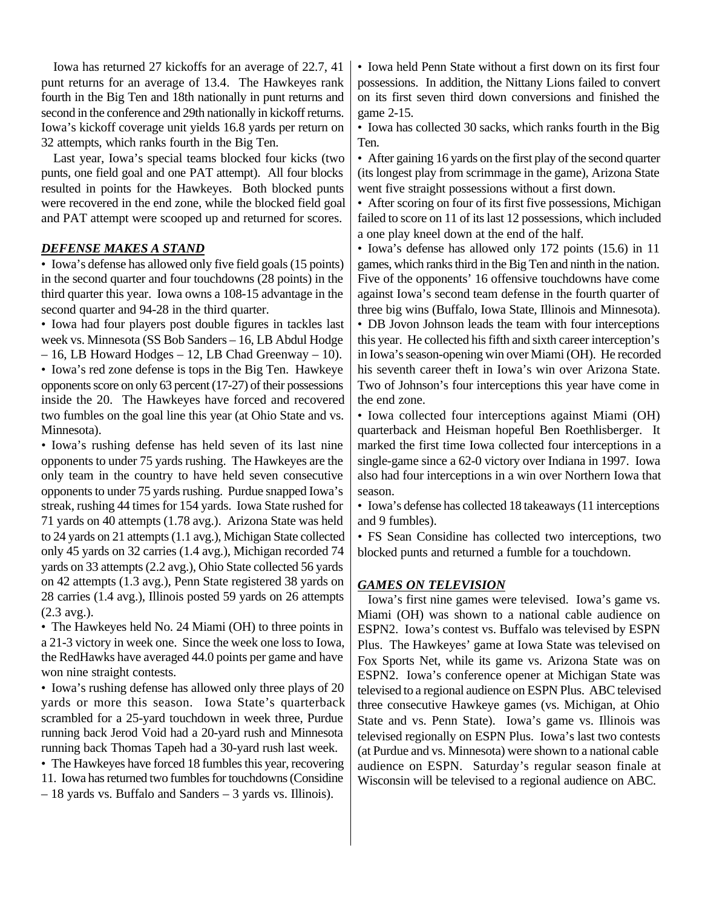Iowa has returned 27 kickoffs for an average of 22.7, 41 punt returns for an average of 13.4. The Hawkeyes rank fourth in the Big Ten and 18th nationally in punt returns and second in the conference and 29th nationally in kickoff returns. Iowa's kickoff coverage unit yields 16.8 yards per return on 32 attempts, which ranks fourth in the Big Ten.

Last year, Iowa's special teams blocked four kicks (two punts, one field goal and one PAT attempt). All four blocks resulted in points for the Hawkeyes. Both blocked punts were recovered in the end zone, while the blocked field goal and PAT attempt were scooped up and returned for scores.

#### *DEFENSE MAKES A STAND*

• Iowa's defense has allowed only five field goals (15 points) in the second quarter and four touchdowns (28 points) in the third quarter this year. Iowa owns a 108-15 advantage in the second quarter and 94-28 in the third quarter.

• Iowa had four players post double figures in tackles last week vs. Minnesota (SS Bob Sanders – 16, LB Abdul Hodge

– 16, LB Howard Hodges – 12, LB Chad Greenway – 10). • Iowa's red zone defense is tops in the Big Ten. Hawkeye opponents score on only 63 percent (17-27) of their possessions inside the 20. The Hawkeyes have forced and recovered two fumbles on the goal line this year (at Ohio State and vs. Minnesota).

*•* Iowa's rushing defense has held seven of its last nine opponents to under 75 yards rushing. The Hawkeyes are the only team in the country to have held seven consecutive opponents to under 75 yards rushing. Purdue snapped Iowa's streak, rushing 44 times for 154 yards. Iowa State rushed for 71 yards on 40 attempts (1.78 avg.). Arizona State was held to 24 yards on 21 attempts (1.1 avg.), Michigan State collected only 45 yards on 32 carries (1.4 avg.), Michigan recorded 74 yards on 33 attempts (2.2 avg.), Ohio State collected 56 yards on 42 attempts (1.3 avg.), Penn State registered 38 yards on 28 carries (1.4 avg.), Illinois posted 59 yards on 26 attempts (2.3 avg.).

• The Hawkeyes held No. 24 Miami (OH) to three points in a 21-3 victory in week one. Since the week one loss to Iowa, the RedHawks have averaged 44.0 points per game and have won nine straight contests.

• Iowa's rushing defense has allowed only three plays of 20 yards or more this season. Iowa State's quarterback scrambled for a 25-yard touchdown in week three, Purdue running back Jerod Void had a 20-yard rush and Minnesota running back Thomas Tapeh had a 30-yard rush last week.

• The Hawkeyes have forced 18 fumbles this year, recovering 11. Iowa has returned two fumbles for touchdowns (Considine

– 18 yards vs. Buffalo and Sanders – 3 yards vs. Illinois).

• Iowa held Penn State without a first down on its first four possessions. In addition, the Nittany Lions failed to convert on its first seven third down conversions and finished the game 2-15.

• Iowa has collected 30 sacks, which ranks fourth in the Big Ten.

• After gaining 16 yards on the first play of the second quarter (its longest play from scrimmage in the game), Arizona State went five straight possessions without a first down.

• After scoring on four of its first five possessions, Michigan failed to score on 11 of its last 12 possessions, which included a one play kneel down at the end of the half.

• Iowa's defense has allowed only 172 points (15.6) in 11 games, which ranks third in the Big Ten and ninth in the nation. Five of the opponents' 16 offensive touchdowns have come against Iowa's second team defense in the fourth quarter of three big wins (Buffalo, Iowa State, Illinois and Minnesota).

• DB Jovon Johnson leads the team with four interceptions this year. He collected his fifth and sixth career interception's in Iowa's season-opening win over Miami (OH). He recorded his seventh career theft in Iowa's win over Arizona State. Two of Johnson's four interceptions this year have come in the end zone.

• Iowa collected four interceptions against Miami (OH) quarterback and Heisman hopeful Ben Roethlisberger. It marked the first time Iowa collected four interceptions in a single-game since a 62-0 victory over Indiana in 1997. Iowa also had four interceptions in a win over Northern Iowa that season.

• Iowa's defense has collected 18 takeaways (11 interceptions and 9 fumbles).

*•* FS Sean Considine has collected two interceptions, two blocked punts and returned a fumble for a touchdown.

#### *GAMES ON TELEVISION*

Iowa's first nine games were televised. Iowa's game vs. Miami (OH) was shown to a national cable audience on ESPN2. Iowa's contest vs. Buffalo was televised by ESPN Plus. The Hawkeyes' game at Iowa State was televised on Fox Sports Net, while its game vs. Arizona State was on ESPN2. Iowa's conference opener at Michigan State was televised to a regional audience on ESPN Plus. ABC televised three consecutive Hawkeye games (vs. Michigan, at Ohio State and vs. Penn State). Iowa's game vs. Illinois was televised regionally on ESPN Plus. Iowa's last two contests (at Purdue and vs. Minnesota) were shown to a national cable audience on ESPN. Saturday's regular season finale at Wisconsin will be televised to a regional audience on ABC.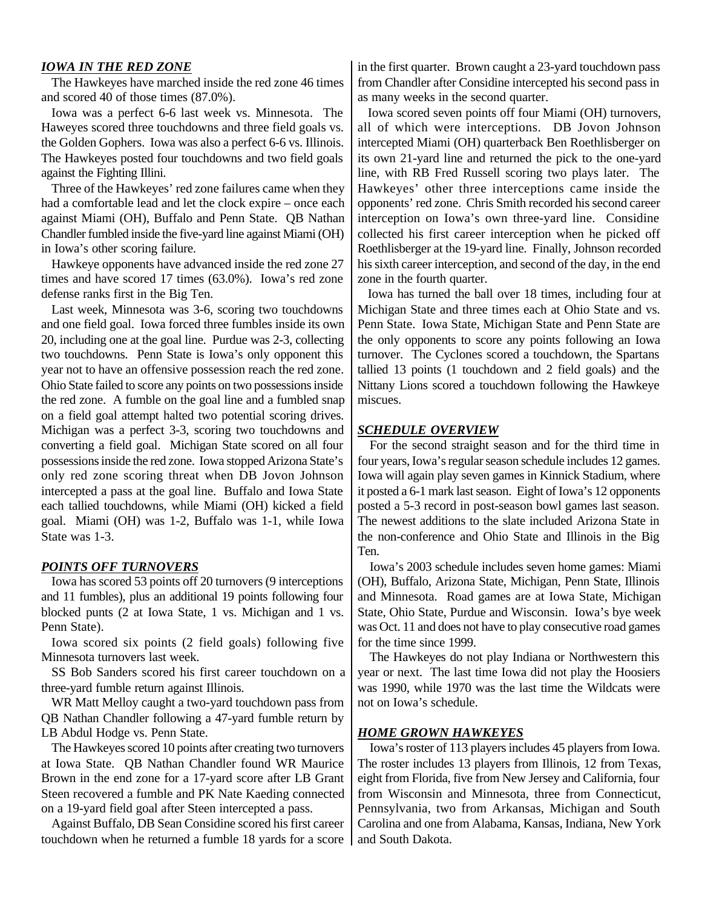#### *IOWA IN THE RED ZONE*

The Hawkeyes have marched inside the red zone 46 times and scored 40 of those times (87.0%).

Iowa was a perfect 6-6 last week vs. Minnesota. The Haweyes scored three touchdowns and three field goals vs. the Golden Gophers. Iowa was also a perfect 6-6 vs. Illinois. The Hawkeyes posted four touchdowns and two field goals against the Fighting Illini.

Three of the Hawkeyes' red zone failures came when they had a comfortable lead and let the clock expire – once each against Miami (OH), Buffalo and Penn State. QB Nathan Chandler fumbled inside the five-yard line against Miami (OH) in Iowa's other scoring failure.

Hawkeye opponents have advanced inside the red zone 27 times and have scored 17 times (63.0%). Iowa's red zone defense ranks first in the Big Ten.

Last week, Minnesota was 3-6, scoring two touchdowns and one field goal. Iowa forced three fumbles inside its own 20, including one at the goal line. Purdue was 2-3, collecting two touchdowns. Penn State is Iowa's only opponent this year not to have an offensive possession reach the red zone. Ohio State failed to score any points on two possessions inside the red zone. A fumble on the goal line and a fumbled snap on a field goal attempt halted two potential scoring drives. Michigan was a perfect 3-3, scoring two touchdowns and converting a field goal. Michigan State scored on all four possessions inside the red zone. Iowa stopped Arizona State's only red zone scoring threat when DB Jovon Johnson intercepted a pass at the goal line. Buffalo and Iowa State each tallied touchdowns, while Miami (OH) kicked a field goal. Miami (OH) was 1-2, Buffalo was 1-1, while Iowa State was 1-3.

#### *POINTS OFF TURNOVERS*

Iowa has scored 53 points off 20 turnovers (9 interceptions and 11 fumbles), plus an additional 19 points following four blocked punts (2 at Iowa State, 1 vs. Michigan and 1 vs. Penn State).

Iowa scored six points (2 field goals) following five Minnesota turnovers last week.

SS Bob Sanders scored his first career touchdown on a three-yard fumble return against Illinois.

WR Matt Melloy caught a two-yard touchdown pass from QB Nathan Chandler following a 47-yard fumble return by LB Abdul Hodge vs. Penn State.

The Hawkeyes scored 10 points after creating two turnovers at Iowa State. QB Nathan Chandler found WR Maurice Brown in the end zone for a 17-yard score after LB Grant Steen recovered a fumble and PK Nate Kaeding connected on a 19-yard field goal after Steen intercepted a pass.

Against Buffalo, DB Sean Considine scored his first career touchdown when he returned a fumble 18 yards for a score in the first quarter. Brown caught a 23-yard touchdown pass from Chandler after Considine intercepted his second pass in as many weeks in the second quarter.

Iowa scored seven points off four Miami (OH) turnovers, all of which were interceptions. DB Jovon Johnson intercepted Miami (OH) quarterback Ben Roethlisberger on its own 21-yard line and returned the pick to the one-yard line, with RB Fred Russell scoring two plays later. The Hawkeyes' other three interceptions came inside the opponents' red zone. Chris Smith recorded his second career interception on Iowa's own three-yard line. Considine collected his first career interception when he picked off Roethlisberger at the 19-yard line. Finally, Johnson recorded his sixth career interception, and second of the day, in the end zone in the fourth quarter.

Iowa has turned the ball over 18 times, including four at Michigan State and three times each at Ohio State and vs. Penn State. Iowa State, Michigan State and Penn State are the only opponents to score any points following an Iowa turnover. The Cyclones scored a touchdown, the Spartans tallied 13 points (1 touchdown and 2 field goals) and the Nittany Lions scored a touchdown following the Hawkeye miscues.

#### *SCHEDULE OVERVIEW*

For the second straight season and for the third time in four years, Iowa's regular season schedule includes 12 games. Iowa will again play seven games in Kinnick Stadium, where it posted a 6-1 mark last season. Eight of Iowa's 12 opponents posted a 5-3 record in post-season bowl games last season. The newest additions to the slate included Arizona State in the non-conference and Ohio State and Illinois in the Big Ten.

Iowa's 2003 schedule includes seven home games: Miami (OH), Buffalo, Arizona State, Michigan, Penn State, Illinois and Minnesota. Road games are at Iowa State, Michigan State, Ohio State, Purdue and Wisconsin. Iowa's bye week was Oct. 11 and does not have to play consecutive road games for the time since 1999.

The Hawkeyes do not play Indiana or Northwestern this year or next. The last time Iowa did not play the Hoosiers was 1990, while 1970 was the last time the Wildcats were not on Iowa's schedule.

#### *HOME GROWN HAWKEYES*

Iowa's roster of 113 players includes 45 players from Iowa. The roster includes 13 players from Illinois, 12 from Texas, eight from Florida, five from New Jersey and California, four from Wisconsin and Minnesota, three from Connecticut, Pennsylvania, two from Arkansas, Michigan and South Carolina and one from Alabama, Kansas, Indiana, New York and South Dakota.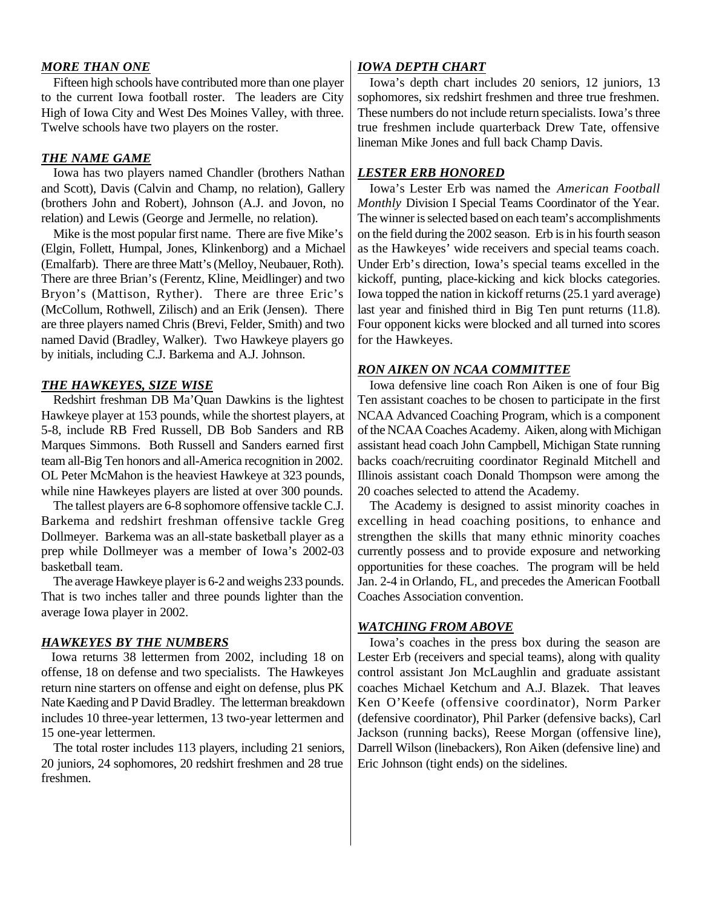#### *MORE THAN ONE*

Fifteen high schools have contributed more than one player to the current Iowa football roster. The leaders are City High of Iowa City and West Des Moines Valley, with three. Twelve schools have two players on the roster.

#### *THE NAME GAME*

Iowa has two players named Chandler (brothers Nathan and Scott), Davis (Calvin and Champ, no relation), Gallery (brothers John and Robert), Johnson (A.J. and Jovon, no relation) and Lewis (George and Jermelle, no relation).

Mike is the most popular first name. There are five Mike's (Elgin, Follett, Humpal, Jones, Klinkenborg) and a Michael (Emalfarb). There are three Matt's (Melloy, Neubauer, Roth). There are three Brian's (Ferentz, Kline, Meidlinger) and two Bryon's (Mattison, Ryther). There are three Eric's (McCollum, Rothwell, Zilisch) and an Erik (Jensen). There are three players named Chris (Brevi, Felder, Smith) and two named David (Bradley, Walker). Two Hawkeye players go by initials, including C.J. Barkema and A.J. Johnson.

#### *THE HAWKEYES, SIZE WISE*

Redshirt freshman DB Ma'Quan Dawkins is the lightest Hawkeye player at 153 pounds, while the shortest players, at 5-8, include RB Fred Russell, DB Bob Sanders and RB Marques Simmons. Both Russell and Sanders earned first team all-Big Ten honors and all-America recognition in 2002. OL Peter McMahon is the heaviest Hawkeye at 323 pounds, while nine Hawkeyes players are listed at over 300 pounds.

The tallest players are 6-8 sophomore offensive tackle C.J. Barkema and redshirt freshman offensive tackle Greg Dollmeyer. Barkema was an all-state basketball player as a prep while Dollmeyer was a member of Iowa's 2002-03 basketball team.

The average Hawkeye player is 6-2 and weighs 233 pounds. That is two inches taller and three pounds lighter than the average Iowa player in 2002.

#### *HAWKEYES BY THE NUMBERS*

Iowa returns 38 lettermen from 2002, including 18 on offense, 18 on defense and two specialists. The Hawkeyes return nine starters on offense and eight on defense, plus PK Nate Kaeding and P David Bradley. The letterman breakdown includes 10 three-year lettermen, 13 two-year lettermen and 15 one-year lettermen.

The total roster includes 113 players, including 21 seniors, 20 juniors, 24 sophomores, 20 redshirt freshmen and 28 true freshmen.

#### *IOWA DEPTH CHART*

Iowa's depth chart includes 20 seniors, 12 juniors, 13 sophomores, six redshirt freshmen and three true freshmen. These numbers do not include return specialists. Iowa's three true freshmen include quarterback Drew Tate, offensive lineman Mike Jones and full back Champ Davis.

#### *LESTER ERB HONORED*

Iowa's Lester Erb was named the *American Football Monthly* Division I Special Teams Coordinator of the Year. The winner is selected based on each team's accomplishments on the field during the 2002 season. Erb is in his fourth season as the Hawkeyes' wide receivers and special teams coach. Under Erb's direction, Iowa's special teams excelled in the kickoff, punting, place-kicking and kick blocks categories. Iowa topped the nation in kickoff returns (25.1 yard average) last year and finished third in Big Ten punt returns (11.8). Four opponent kicks were blocked and all turned into scores for the Hawkeyes.

#### *RON AIKEN ON NCAA COMMITTEE*

Iowa defensive line coach Ron Aiken is one of four Big Ten assistant coaches to be chosen to participate in the first NCAA Advanced Coaching Program, which is a component of the NCAA Coaches Academy. Aiken, along with Michigan assistant head coach John Campbell, Michigan State running backs coach/recruiting coordinator Reginald Mitchell and Illinois assistant coach Donald Thompson were among the 20 coaches selected to attend the Academy.

The Academy is designed to assist minority coaches in excelling in head coaching positions, to enhance and strengthen the skills that many ethnic minority coaches currently possess and to provide exposure and networking opportunities for these coaches. The program will be held Jan. 2-4 in Orlando, FL, and precedes the American Football Coaches Association convention.

#### *WATCHING FROM ABOVE*

Iowa's coaches in the press box during the season are Lester Erb (receivers and special teams), along with quality control assistant Jon McLaughlin and graduate assistant coaches Michael Ketchum and A.J. Blazek. That leaves Ken O'Keefe (offensive coordinator), Norm Parker (defensive coordinator), Phil Parker (defensive backs), Carl Jackson (running backs), Reese Morgan (offensive line), Darrell Wilson (linebackers), Ron Aiken (defensive line) and Eric Johnson (tight ends) on the sidelines.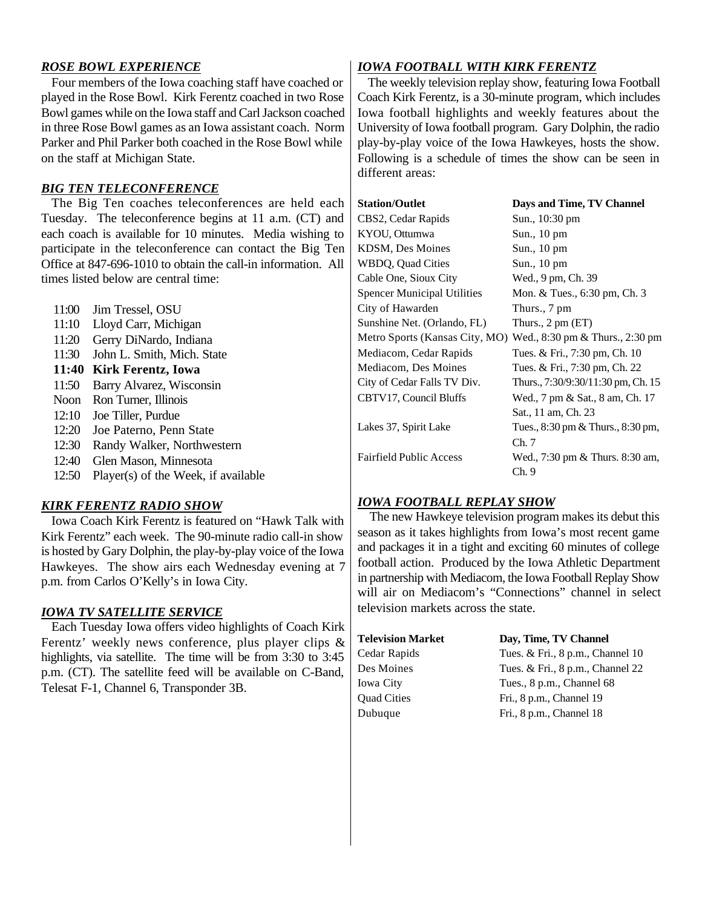#### *ROSE BOWL EXPERIENCE*

Four members of the Iowa coaching staff have coached or played in the Rose Bowl. Kirk Ferentz coached in two Rose Bowl games while on the Iowa staff and Carl Jackson coached in three Rose Bowl games as an Iowa assistant coach. Norm Parker and Phil Parker both coached in the Rose Bowl while on the staff at Michigan State.

#### *BIG TEN TELECONFERENCE*

The Big Ten coaches teleconferences are held each Tuesday. The teleconference begins at 11 a.m. (CT) and each coach is available for 10 minutes. Media wishing to participate in the teleconference can contact the Big Ten Office at 847-696-1010 to obtain the call-in information. All times listed below are central time:

- 11:00 Jim Tressel, OSU
- 11:10 Lloyd Carr, Michigan
- 11:20 Gerry DiNardo, Indiana
- 11:30 John L. Smith, Mich. State

#### **11:40 Kirk Ferentz, Iowa**

- 11:50 Barry Alvarez, Wisconsin
- Noon Ron Turner, Illinois
- 12:10 Joe Tiller, Purdue
- 12:20 Joe Paterno, Penn State
- 12:30 Randy Walker, Northwestern
- 12:40 Glen Mason, Minnesota
- 12:50 Player(s) of the Week, if available

#### *KIRK FERENTZ RADIO SHOW*

Iowa Coach Kirk Ferentz is featured on "Hawk Talk with Kirk Ferentz" each week. The 90-minute radio call-in show is hosted by Gary Dolphin, the play-by-play voice of the Iowa Hawkeyes. The show airs each Wednesday evening at 7 p.m. from Carlos O'Kelly's in Iowa City.

#### *IOWA TV SATELLITE SERVICE*

Each Tuesday Iowa offers video highlights of Coach Kirk Ferentz' weekly news conference, plus player clips & highlights, via satellite. The time will be from 3:30 to 3:45 p.m. (CT). The satellite feed will be available on C-Band, Telesat F-1, Channel 6, Transponder 3B.

#### *IOWA FOOTBALL WITH KIRK FERENTZ*

The weekly television replay show, featuring Iowa Football Coach Kirk Ferentz, is a 30-minute program, which includes Iowa football highlights and weekly features about the University of Iowa football program. Gary Dolphin, the radio play-by-play voice of the Iowa Hawkeyes, hosts the show. Following is a schedule of times the show can be seen in different areas:

| <b>Station/Outlet</b>              | Days and Time, TV Channel                                      |
|------------------------------------|----------------------------------------------------------------|
| CBS2, Cedar Rapids                 | Sun., 10:30 pm                                                 |
| KYOU, Ottumwa                      | Sun., 10 pm                                                    |
| KDSM, Des Moines                   | Sun., 10 pm                                                    |
| WBDQ, Quad Cities                  | Sun., 10 pm                                                    |
| Cable One, Sioux City              | Wed., 9 pm, Ch. 39                                             |
| <b>Spencer Municipal Utilities</b> | Mon. & Tues., 6:30 pm, Ch. 3                                   |
| City of Hawarden                   | Thurs., 7 pm                                                   |
| Sunshine Net. (Orlando, FL)        | Thurs., $2 \text{ pm} (ET)$                                    |
|                                    | Metro Sports (Kansas City, MO) Wed., 8:30 pm & Thurs., 2:30 pm |
| Mediacom, Cedar Rapids             | Tues. & Fri., 7:30 pm, Ch. 10                                  |
| Mediacom, Des Moines               | Tues. & Fri., 7:30 pm, Ch. 22                                  |
| City of Cedar Falls TV Div.        | Thurs., 7:30/9:30/11:30 pm, Ch. 15                             |
| CBTV17, Council Bluffs             | Wed., 7 pm & Sat., 8 am, Ch. 17                                |
|                                    | Sat., 11 am, Ch. 23                                            |
| Lakes 37, Spirit Lake              | Tues., 8:30 pm & Thurs., 8:30 pm,                              |
|                                    | Ch.7                                                           |
| <b>Fairfield Public Access</b>     | Wed., 7:30 pm & Thurs. 8:30 am,                                |
|                                    | Ch.9                                                           |

#### *IOWA FOOTBALL REPLAY SHOW*

The new Hawkeye television program makes its debut this season as it takes highlights from Iowa's most recent game and packages it in a tight and exciting 60 minutes of college football action. Produced by the Iowa Athletic Department in partnership with Mediacom, the Iowa Football Replay Show will air on Mediacom's "Connections" channel in select television markets across the state.

| <b>Television Market</b> | Day, Time, TV Channe     |
|--------------------------|--------------------------|
| Cedar Rapids             | Tues. & Fri., 8 p.m., Ch |
| Des Moines               | Tues. & Fri., 8 p.m., Ch |
| <b>Iowa City</b>         | Tues., 8 p.m., Channel   |
| <b>Ouad Cities</b>       | Fri., 8 p.m., Channel 19 |
| Dubuque                  | Fri., 8 p.m., Channel 18 |

#### **Television Market Day, Time, TV Channel**

Cedar Rapids Tues. & Fri., 8 p.m., Channel 10 Des Moines Tues. & Fri., 8 p.m., Channel 22 Iowa City Tues., 8 p.m., Channel 68 Quad Cities Fri., 8 p.m., Channel 19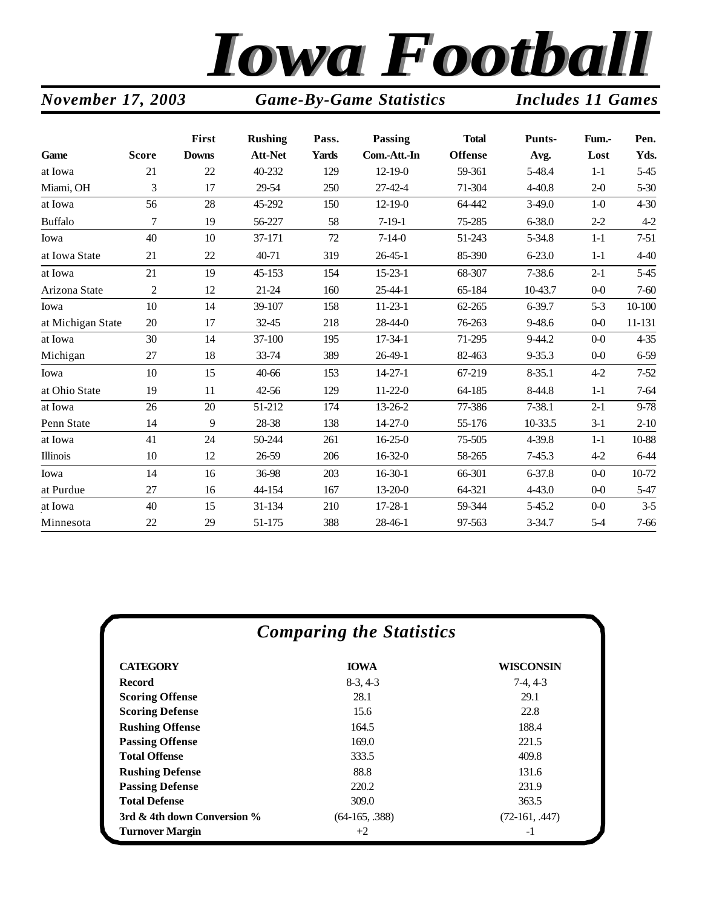

#### **First Rushing Pass. Passing Total Punts- Fum.- Pen. Game Score Downs Att-Net Yards Com.-Att.-In Offense Avg. Lost Yds.** at Iowa 21 22 40-232 129 12-19-0 59-361 5-48.4 1-1 5-45 Miami, OH 3 17 29-54 250 27-42-4 71-304 4-40.8 2-0 5-30 at Iowa 56 28 45-292 150 12-19-0 64-442 3-49.0 1-0 4-30 Buffalo 7 19 56-227 58 7-19-1 75-285 6-38.0 2-2 4-2 Iowa 40 10 37-171 72 7-14-0 51-243 5-34.8 1-1 7-51 at Iowa State 21 22 40-71 319 26-45-1 85-390 6-23.0 1-1 4-40 at Iowa 21 19 45-153 154 15-23-1 68-307 7-38.6 2-1 5-45 Arizona State 2 12 21-24 160 25-44-1 65-184 10-43.7 0-0 7-60 Iowa 10 14 39-107 158 11-23-1 62-265 6-39.7 5-3 10-100 at Michigan State 20 17 32-45 218 28-44-0 76-263 9-48.6 0-0 11-131 at Iowa 30 14 37-100 195 17-34-1 71-295 9-44.2 0-0 4-35 Michigan 27 18 33-74 389 26-49-1 82-463 9-35.3 0-0 6-59 Iowa 10 15 40-66 153 14-27-1 67-219 8-35.1 4-2 7-52 at Ohio State 19 11 42-56 129 11-22-0 64-185 8-44.8 1-1 7-64 at Iowa 26 20 51-212 174 13-26-2 77-386 7-38.1 2-1 9-78 Penn State 14 9 28-38 138 14-27-0 55-176 10-33.5 3-1 2-10 at Iowa 41 24 50-244 261 16-25-0 75-505 4-39.8 1-1 10-88 Illinois 10 12 26-59 206 16-32-0 58-265 7-45.3 4-2 6-44 Iowa 14 16 36-98 203 16-30-1 66-301 6-37.8 0-0 10-72 at Purdue 27 16 44-154 167 13-20-0 64-321 4-43.0 0-0 5-47 at Iowa 40 15 31-134 210 17-28-1 59-344 5-45.2 0-0 3-5 Minnesota 22 29 51-175 388 28-46-1 97-563 3-34.7 5-4 7-66

*November 17, 2003 Game-By-Game Statistics Includes 11 Games*

| <b>Comparing the Statistics</b> |                  |                  |  |  |  |  |  |  |
|---------------------------------|------------------|------------------|--|--|--|--|--|--|
| <b>CATEGORY</b>                 | <b>IOWA</b>      | <b>WISCONSIN</b> |  |  |  |  |  |  |
| <b>Record</b>                   | $8-3, 4-3$       | $7-4, 4-3$       |  |  |  |  |  |  |
| <b>Scoring Offense</b>          | 28.1             | 29.1             |  |  |  |  |  |  |
| <b>Scoring Defense</b>          | 15.6             | 22.8             |  |  |  |  |  |  |
| <b>Rushing Offense</b>          | 164.5            | 188.4            |  |  |  |  |  |  |
| <b>Passing Offense</b>          | 169.0            | 221.5            |  |  |  |  |  |  |
| <b>Total Offense</b>            | 333.5            | 409.8            |  |  |  |  |  |  |
| <b>Rushing Defense</b>          | 88.8             | 131.6            |  |  |  |  |  |  |
| <b>Passing Defense</b>          | 220.2            | 231.9            |  |  |  |  |  |  |
| <b>Total Defense</b>            | 309.0            | 363.5            |  |  |  |  |  |  |
| 3rd & 4th down Conversion %     | $(64-165, .388)$ | $(72-161, .447)$ |  |  |  |  |  |  |
| <b>Turnover Margin</b>          | $+2$             | -1               |  |  |  |  |  |  |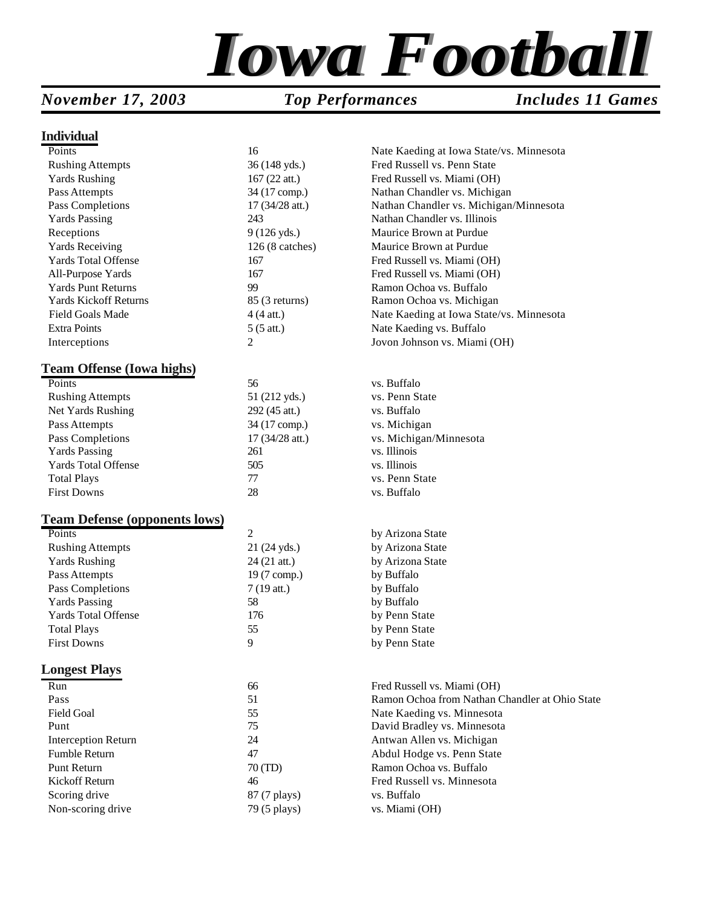

#### *November 17, 2003 Top Performances Includes 11 Games*

#### **Individual**

| Points                               | 16                       | Nate Kaeding at Iowa State/vs. Minnesota       |
|--------------------------------------|--------------------------|------------------------------------------------|
| <b>Rushing Attempts</b>              | 36 (148 yds.)            | Fred Russell vs. Penn State                    |
| <b>Yards Rushing</b>                 | $167(22$ att.)           | Fred Russell vs. Miami (OH)                    |
| Pass Attempts                        | 34 (17 comp.)            | Nathan Chandler vs. Michigan                   |
| Pass Completions                     | 17 (34/28 att.)          | Nathan Chandler vs. Michigan/Minnesota         |
| <b>Yards Passing</b>                 | 243                      | Nathan Chandler vs. Illinois                   |
| Receptions                           | 9 (126 yds.)             | Maurice Brown at Purdue                        |
| <b>Yards Receiving</b>               | $126(8 \text{ catches})$ | Maurice Brown at Purdue                        |
| <b>Yards Total Offense</b>           | 167                      | Fred Russell vs. Miami (OH)                    |
| All-Purpose Yards                    | 167                      | Fred Russell vs. Miami (OH)                    |
| <b>Yards Punt Returns</b>            | 99                       | Ramon Ochoa vs. Buffalo                        |
| <b>Yards Kickoff Returns</b>         | 85 (3 returns)           | Ramon Ochoa vs. Michigan                       |
| Field Goals Made                     | $4(4$ att.)              | Nate Kaeding at Iowa State/vs. Minnesota       |
| <b>Extra Points</b>                  | $5(5$ att.)              | Nate Kaeding vs. Buffalo                       |
| Interceptions                        | 2                        | Jovon Johnson vs. Miami (OH)                   |
| <b>Team Offense (Iowa highs)</b>     |                          |                                                |
| Points                               | 56                       | vs. Buffalo                                    |
| <b>Rushing Attempts</b>              | 51 (212 yds.)            | vs. Penn State                                 |
| Net Yards Rushing                    | 292 (45 att.)            | vs. Buffalo                                    |
| Pass Attempts                        | 34 (17 comp.)            | vs. Michigan                                   |
| Pass Completions                     | 17 (34/28 att.)          | vs. Michigan/Minnesota                         |
| <b>Yards Passing</b>                 | 261                      | vs. Illinois                                   |
| Yards Total Offense                  | 505                      | vs. Illinois                                   |
| <b>Total Plays</b>                   | 77                       | vs. Penn State                                 |
| <b>First Downs</b>                   | 28                       | vs. Buffalo                                    |
|                                      |                          |                                                |
| <b>Team Defense (opponents lows)</b> |                          |                                                |
| Points                               | $\overline{2}$           | by Arizona State                               |
| <b>Rushing Attempts</b>              | 21 (24 yds.)             | by Arizona State                               |
| <b>Yards Rushing</b>                 | 24 (21 att.)             | by Arizona State                               |
| Pass Attempts                        | 19 (7 comp.)             | by Buffalo                                     |
| Pass Completions                     | 7 (19 att.)              | by Buffalo                                     |
| <b>Yards Passing</b>                 | 58                       | by Buffalo                                     |
| <b>Yards Total Offense</b>           | 176                      | by Penn State                                  |
| <b>Total Plays</b>                   | 55                       | by Penn State                                  |
| <b>First Downs</b>                   | 9                        | by Penn State                                  |
| <b>Longest Plays</b>                 |                          |                                                |
| Run                                  | 66                       | Fred Russell vs. Miami (OH)                    |
| Pass                                 | 51                       | Ramon Ochoa from Nathan Chandler at Ohio State |
| <b>Field Goal</b>                    | 55                       | Nate Kaeding vs. Minnesota                     |
| Punt                                 | 75                       | David Bradley vs. Minnesota                    |
| <b>Interception Return</b>           | 24                       | Antwan Allen vs. Michigan                      |
| Fumble Return                        | 47                       | Abdul Hodge vs. Penn State                     |
| Punt Return                          | 70 (TD)                  | Ramon Ochoa vs. Buffalo                        |
| Kickoff Return                       | 46                       | Fred Russell vs. Minnesota                     |
| Scoring drive                        | 87 (7 plays)             | vs. Buffalo                                    |
| Non-scoring drive                    | 79 (5 plays)             | vs. Miami (OH)                                 |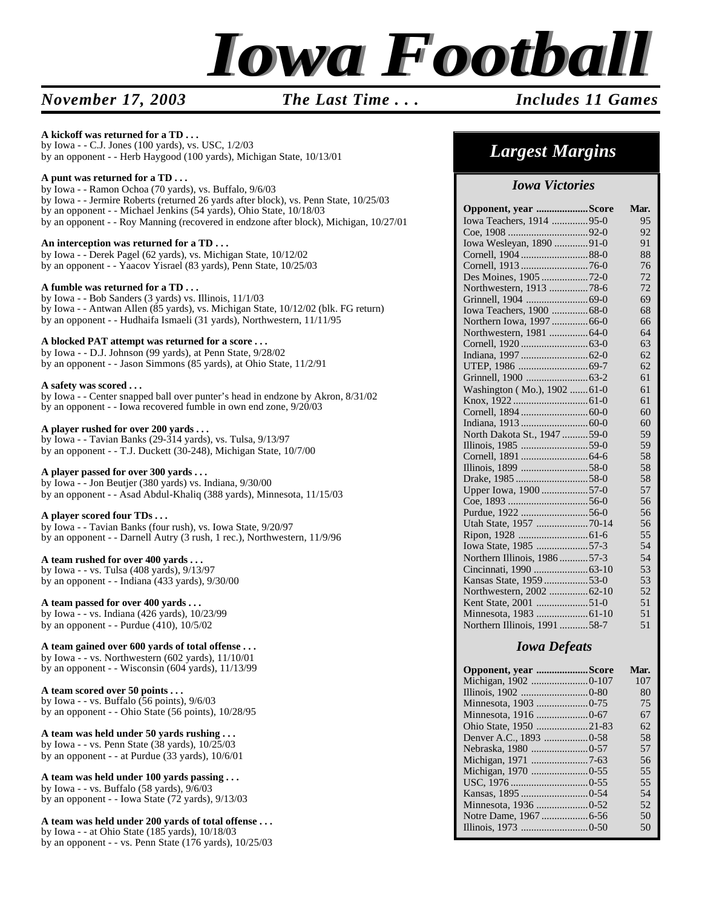

#### *November 17, 2003 The Last Time . . . Includes 11 Games*

#### **A kickoff was returned for a TD . . .**

by Iowa - - C.J. Jones (100 yards), vs. USC, 1/2/03 by an opponent - - Herb Haygood (100 yards), Michigan State, 10/13/01

#### **A punt was returned for a TD . . .**

by Iowa - - Ramon Ochoa (70 yards), vs. Buffalo, 9/6/03 by Iowa - - Jermire Roberts (returned 26 yards after block), vs. Penn State, 10/25/03 by an opponent - - Michael Jenkins (54 yards), Ohio State, 10/18/03 by an opponent - - Roy Manning (recovered in endzone after block), Michigan, 10/27/01

#### **An interception was returned for a TD . . .**

by Iowa - - Derek Pagel (62 yards), vs. Michigan State, 10/12/02 by an opponent - - Yaacov Yisrael (83 yards), Penn State, 10/25/03

#### **A fumble was returned for a TD . . .**

by Iowa - - Bob Sanders (3 yards) vs. Illinois, 11/1/03 by Iowa - - Antwan Allen (85 yards), vs. Michigan State, 10/12/02 (blk. FG return) by an opponent - - Hudhaifa Ismaeli (31 yards), Northwestern, 11/11/95

#### **A blocked PAT attempt was returned for a score . . .**

by Iowa - - D.J. Johnson (99 yards), at Penn State, 9/28/02 by an opponent - - Jason Simmons (85 yards), at Ohio State, 11/2/91

#### **A safety was scored . . .**

by Iowa - - Center snapped ball over punter's head in endzone by Akron, 8/31/02 by an opponent - - Iowa recovered fumble in own end zone, 9/20/03

#### **A player rushed for over 200 yards . . .**

by Iowa - - Tavian Banks (29-314 yards), vs. Tulsa, 9/13/97 by an opponent - - T.J. Duckett (30-248), Michigan State, 10/7/00

#### **A player passed for over 300 yards . . .**

by Iowa - - Jon Beutjer (380 yards) vs. Indiana, 9/30/00 by an opponent - - Asad Abdul-Khaliq (388 yards), Minnesota, 11/15/03

#### **A player scored four TDs . . .**

by Iowa - - Tavian Banks (four rush), vs. Iowa State, 9/20/97 by an opponent - - Darnell Autry (3 rush, 1 rec.), Northwestern, 11/9/96

#### **A team rushed for over 400 yards . . .**

by Iowa - - vs. Tulsa (408 yards), 9/13/97 by an opponent - - Indiana (433 yards), 9/30/00

#### **A team passed for over 400 yards . . .**

by Iowa - - vs. Indiana (426 yards), 10/23/99 by an opponent - - Purdue (410), 10/5/02

#### **A team gained over 600 yards of total offense . . .**

by Iowa - - vs. Northwestern (602 yards), 11/10/01 by an opponent - - Wisconsin (604 yards), 11/13/99

#### **A team scored over 50 points . . .**

by Iowa - - vs. Buffalo (56 points), 9/6/03 by an opponent - - Ohio State (56 points), 10/28/95

#### **A team was held under 50 yards rushing . . .**

by Iowa - - vs. Penn State (38 yards), 10/25/03 by an opponent - - at Purdue (33 yards), 10/6/01

#### **A team was held under 100 yards passing . . .**

by Iowa - - vs. Buffalo (58 yards), 9/6/03 by an opponent - - Iowa State (72 yards), 9/13/03

#### **A team was held under 200 yards of total offense . . .**

by Iowa - - at Ohio State (185 yards), 10/18/03 by an opponent - - vs. Penn State (176 yards), 10/25/03

### *Largest Margins*

#### *Iowa Victories*

| Opponent, year Score          | Mar. |
|-------------------------------|------|
| Iowa Teachers, 1914 95-0      | 95   |
|                               | 92   |
| Iowa Wesleyan, 1890 91-0      | 91   |
|                               | 88   |
| Cornell, 1913 76-0            | 76   |
| Des Moines, 1905 72-0         | 72   |
| Northwestern, 1913 78-6       | 72   |
|                               | 69   |
| Iowa Teachers, 1900  68-0     | 68   |
| Northern Iowa, 1997 66-0      | 66   |
| Northwestern, 1981  64-0      | 64   |
|                               | 63   |
|                               | 62   |
|                               | 62   |
|                               | 61   |
| Washington (Mo.), 1902  61-0  | 61   |
|                               | 61   |
|                               | 60   |
|                               | 60   |
| North Dakota St., 1947 59-0   | 59   |
|                               | 59   |
|                               | 58   |
|                               | 58   |
|                               | 58   |
| Upper Iowa, 1900 57-0         | 57   |
|                               | 56   |
|                               | 56   |
| Utah State, 1957 70-14        | 56   |
|                               | 55   |
| Iowa State, 1985 57-3         | 54   |
| Northern Illinois, 1986  57-3 | 54   |
|                               | 53   |
| Kansas State, 1959 53-0       | 53   |
| Northwestern, 2002 62-10      | 52   |
|                               | 51   |
|                               | 51   |
| Northern Illinois, 1991 58-7  | 51   |

#### *Iowa Defeats*

| Opponent, year Score   | Mar. |
|------------------------|------|
| Michigan, 1902 0-107   | 107  |
|                        | 80   |
|                        | 75   |
|                        | 67   |
| Ohio State, 1950 21-83 | 62   |
|                        | 58   |
|                        | 57   |
| Michigan, 1971 7-63    | 56   |
|                        | 55   |
|                        | 55   |
|                        | 54   |
|                        | 52   |
|                        | 50   |
|                        | 50   |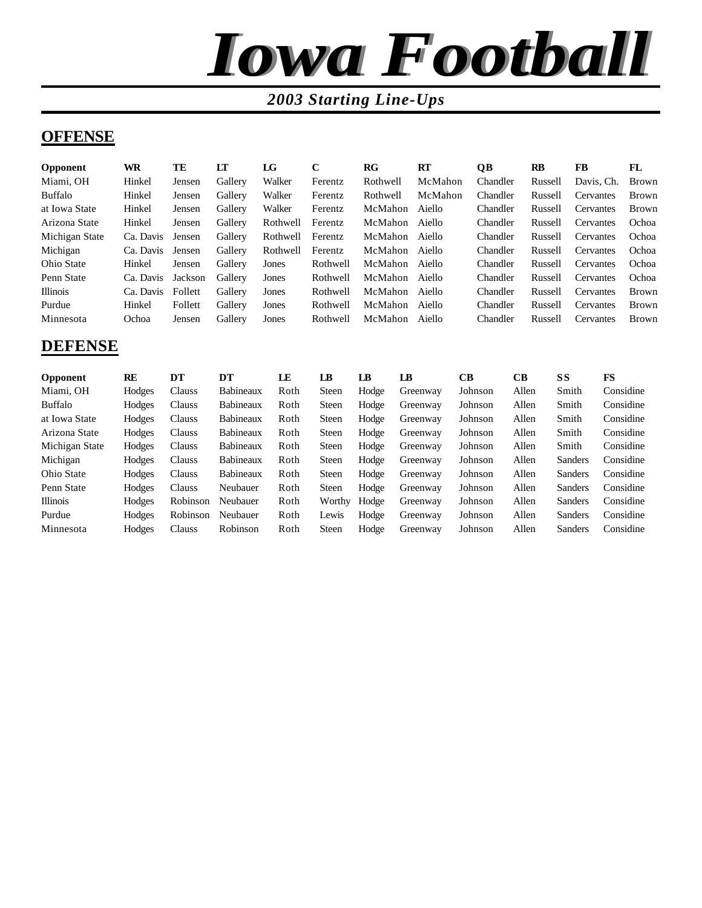

#### *2003 Starting Line-Ups*

#### **OFFENSE**

| <b>Opponent</b> | WR        | TE      | LT      | LG       | C        | $_{\rm RG}$ | <b>RT</b> | QВ       | RB      | FB               | FL           |
|-----------------|-----------|---------|---------|----------|----------|-------------|-----------|----------|---------|------------------|--------------|
| Miami, OH       | Hinkel    | Jensen  | Gallery | Walker   | Ferentz  | Rothwell    | McMahon   | Chandler | Russell | Davis, Ch.       | <b>Brown</b> |
| Buffalo         | Hinkel    | Jensen  | Gallery | Walker   | Ferentz  | Rothwell    | McMahon   | Chandler | Russell | Cervantes        | <b>Brown</b> |
| at Iowa State   | Hinkel    | Jensen  | Gallery | Walker   | Ferentz  | McMahon     | Aiello    | Chandler | Russell | <b>Cervantes</b> | <b>Brown</b> |
| Arizona State   | Hinkel    | Jensen  | Gallery | Rothwell | Ferentz  | McMahon     | Aiello    | Chandler | Russell | Cervantes        | Ochoa        |
| Michigan State  | Ca. Davis | Jensen  | Gallery | Rothwell | Ferentz  | McMahon     | Aiello    | Chandler | Russell | <b>Cervantes</b> | Ochoa        |
| Michigan        | Ca. Davis | Jensen  | Gallery | Rothwell | Ferentz  | McMahon     | Aiello    | Chandler | Russell | <b>Cervantes</b> | Ochoa        |
| Ohio State      | Hinkel    | Jensen  | Gallery | Jones    | Rothwell | McMahon     | Aiello    | Chandler | Russell | <b>Cervantes</b> | Ochoa        |
| Penn State      | Ca. Davis | Jackson | Gallery | Jones    | Rothwell | McMahon     | Aiello    | Chandler | Russell | <b>Cervantes</b> | Ochoa        |
| <b>Illinois</b> | Ca. Davis | Follett | Gallery | Jones    | Rothwell | McMahon     | Aiello    | Chandler | Russell | Cervantes        | <b>Brown</b> |
| Purdue          | Hinkel    | Follett | Gallery | Jones    | Rothwell | McMahon     | Aiello    | Chandler | Russell | <b>Cervantes</b> | <b>Brown</b> |
| Minnesota       | Ochoa     | Jensen  | Gallery | Jones    | Rothwell | McMahon     | Aiello    | Chandler | Russell | Cervantes        | <b>Brown</b> |

#### **DEFENSE**

| <b>Opponent</b> | RE     | DT       | DТ               | LE   | LB           | LB    | LB       | CВ      | CВ    | SS      | FS        |
|-----------------|--------|----------|------------------|------|--------------|-------|----------|---------|-------|---------|-----------|
| Miami, OH       | Hodges | Clauss   | Babineaux        | Roth | <b>Steen</b> | Hodge | Greenway | Johnson | Allen | Smith   | Considine |
| Buffalo         | Hodges | Clauss   | Babineaux        | Roth | <b>Steen</b> | Hodge | Greenway | Johnson | Allen | Smith   | Considine |
| at Iowa State   | Hodges | Clauss   | <b>Babineaux</b> | Roth | <b>Steen</b> | Hodge | Greenway | Johnson | Allen | Smith   | Considine |
| Arizona State   | Hodges | Clauss   | <b>Babineaux</b> | Roth | <b>Steen</b> | Hodge | Greenway | Johnson | Allen | Smith   | Considine |
| Michigan State  | Hodges | Clauss   | <b>Babineaux</b> | Roth | <b>Steen</b> | Hodge | Greenway | Johnson | Allen | Smith   | Considine |
| Michigan        | Hodges | Clauss   | <b>Babineaux</b> | Roth | <b>Steen</b> | Hodge | Greenway | Johnson | Allen | Sanders | Considine |
| Ohio State      | Hodges | Clauss   | <b>Babineaux</b> | Roth | <b>Steen</b> | Hodge | Greenway | Johnson | Allen | Sanders | Considine |
| Penn State      | Hodges | Clauss   | Neubauer         | Roth | <b>Steen</b> | Hodge | Greenway | Johnson | Allen | Sanders | Considine |
| <b>Illinois</b> | Hodges | Robinson | Neubauer         | Roth | Worthy       | Hodge | Greenway | Johnson | Allen | Sanders | Considine |
| Purdue          | Hodges | Robinson | Neubauer         | Roth | Lewis        | Hodge | Greenway | Johnson | Allen | Sanders | Considine |
| Minnesota       | Hodges | Clauss   | Robinson         | Roth | <b>Steen</b> | Hodge | Greenway | Johnson | Allen | Sanders | Considine |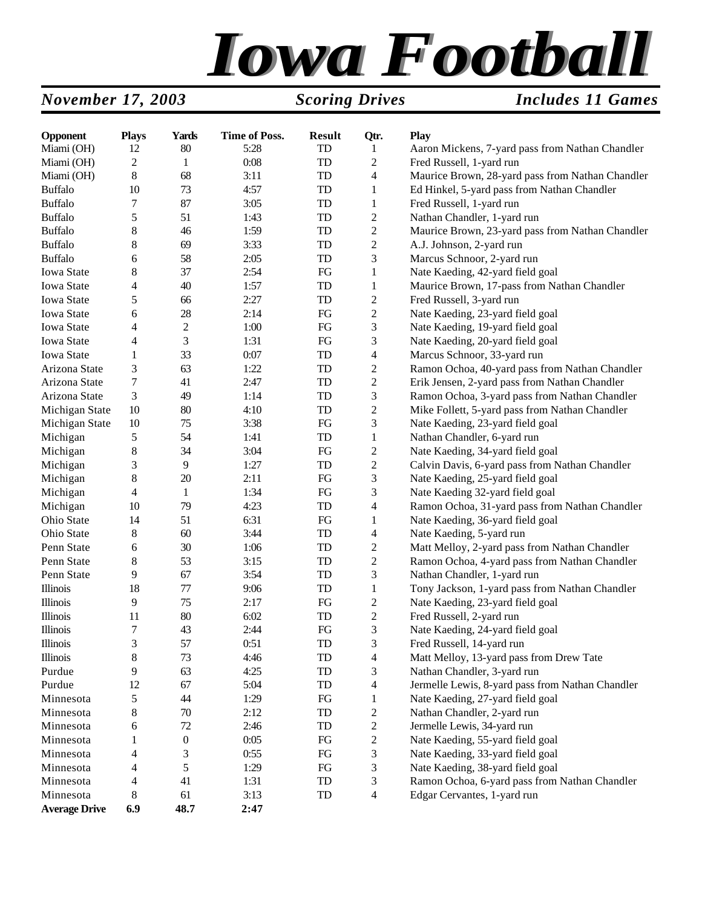# *Iowa Football*

#### *November 17, 2003 Scoring Drives Includes 11 Games*

| Opponent             | <b>Plays</b>                | <b>Yards</b>     | <b>Time of Poss.</b> | <b>Result</b> | Qtr.                    | <b>Play</b>                                      |
|----------------------|-----------------------------|------------------|----------------------|---------------|-------------------------|--------------------------------------------------|
| Miami (OH)           | 12                          | 80               | 5:28                 | TD            | 1                       | Aaron Mickens, 7-yard pass from Nathan Chandler  |
| Miami (OH)           | 2                           | $\mathbf{1}$     | 0:08                 | TD            | $\overline{c}$          | Fred Russell, 1-yard run                         |
| Miami (OH)           | 8                           | 68               | 3:11                 | TD            | 4                       | Maurice Brown, 28-yard pass from Nathan Chandler |
| <b>Buffalo</b>       | 10                          | 73               | 4:57                 | TD            | 1                       | Ed Hinkel, 5-yard pass from Nathan Chandler      |
| <b>Buffalo</b>       | 7                           | 87               | 3:05                 | TD            | 1                       | Fred Russell, 1-yard run                         |
| <b>Buffalo</b>       | 5                           | 51               | 1:43                 | TD            | $\overline{c}$          | Nathan Chandler, 1-yard run                      |
| <b>Buffalo</b>       | 8                           | 46               | 1:59                 | TD            | $\overline{c}$          | Maurice Brown, 23-yard pass from Nathan Chandler |
| <b>Buffalo</b>       | 8                           | 69               | 3:33                 | TD            | $\overline{c}$          | A.J. Johnson, 2-yard run                         |
| <b>Buffalo</b>       | 6                           | 58               | 2:05                 | TD            | 3                       | Marcus Schnoor, 2-yard run                       |
| Iowa State           | 8                           | 37               | 2:54                 | FG            | 1                       | Nate Kaeding, 42-yard field goal                 |
| Iowa State           | 4                           | 40               | 1:57                 | TD            | 1                       | Maurice Brown, 17-pass from Nathan Chandler      |
| Iowa State           | 5                           | 66               | 2:27                 | TD            | $\overline{c}$          | Fred Russell, 3-yard run                         |
| Iowa State           | 6                           | 28               | 2:14                 | FG            | $\overline{c}$          | Nate Kaeding, 23-yard field goal                 |
| Iowa State           | 4                           | $\boldsymbol{2}$ | 1:00                 | FG            | 3                       | Nate Kaeding, 19-yard field goal                 |
| Iowa State           | 4                           | 3                | 1:31                 | FG            | 3                       | Nate Kaeding, 20-yard field goal                 |
| <b>Iowa State</b>    | 1                           | 33               | 0:07                 | TD            | 4                       | Marcus Schnoor, 33-yard run                      |
| Arizona State        | 3                           | 63               | 1:22                 | TD            | $\overline{c}$          | Ramon Ochoa, 40-yard pass from Nathan Chandler   |
| Arizona State        | 7                           | 41               | 2:47                 | TD            | $\overline{c}$          | Erik Jensen, 2-yard pass from Nathan Chandler    |
| Arizona State        | 3                           | 49               | 1:14                 | TD            | 3                       | Ramon Ochoa, 3-yard pass from Nathan Chandler    |
| Michigan State       | 10                          | 80               | 4:10                 | TD            | $\overline{c}$          | Mike Follett, 5-yard pass from Nathan Chandler   |
| Michigan State       | 10                          | 75               | 3:38                 | FG            | 3                       | Nate Kaeding, 23-yard field goal                 |
| Michigan             | 5                           | 54               | 1:41                 | TD            | 1                       | Nathan Chandler, 6-yard run                      |
| Michigan             | $\,$ 8 $\,$                 | 34               | 3:04                 | FG            | $\overline{c}$          | Nate Kaeding, 34-yard field goal                 |
| Michigan             | 3                           | 9                | 1:27                 | TD            | $\overline{c}$          | Calvin Davis, 6-yard pass from Nathan Chandler   |
| Michigan             | 8                           | 20               | 2:11                 | FG            | 3                       | Nate Kaeding, 25-yard field goal                 |
| Michigan             | 4                           | $\mathbf{1}$     | 1:34                 | FG            | 3                       | Nate Kaeding 32-yard field goal                  |
| Michigan             | 10                          | 79               | 4:23                 | TD            | 4                       | Ramon Ochoa, 31-yard pass from Nathan Chandler   |
| Ohio State           | 14                          | 51               | 6:31                 | FG            | 1                       | Nate Kaeding, 36-yard field goal                 |
| Ohio State           | $8\,$                       | 60               | 3:44                 | TD            | 4                       | Nate Kaeding, 5-yard run                         |
| Penn State           | 6                           | 30               | 1:06                 | TD            | $\overline{c}$          | Matt Melloy, 2-yard pass from Nathan Chandler    |
| Penn State           | $8\,$                       | 53               | 3:15                 | TD            | $\overline{c}$          | Ramon Ochoa, 4-yard pass from Nathan Chandler    |
| Penn State           | 9                           | 67               | 3:54                 | TD            | 3                       | Nathan Chandler, 1-yard run                      |
| <b>Illinois</b>      | 18                          | $77 \,$          | 9:06                 | TD            | 1                       | Tony Jackson, 1-yard pass from Nathan Chandler   |
| <b>Illinois</b>      | 9                           | 75               | 2:17                 | FG            | $\overline{c}$          | Nate Kaeding, 23-yard field goal                 |
| Illinois             | 11                          | 80               | 6:02                 | TD            | $\boldsymbol{2}$        | Fred Russell, 2-yard run                         |
| <b>Illinois</b>      | 7                           | 43               | 2:44                 | ${\rm FG}$    | 3                       | Nate Kaeding, 24-yard field goal                 |
| Illinois             | $\ensuremath{\mathfrak{Z}}$ | 57               | 0:51                 | ${\rm TD}$    | 3                       | Fred Russell, 14-yard run                        |
| <b>Illinois</b>      | 8                           | 73               | 4:46                 | TD            | 4                       | Matt Melloy, 13-yard pass from Drew Tate         |
| Purdue               | 9                           | 63               | 4:25                 | TD            | 3                       | Nathan Chandler, 3-yard run                      |
| Purdue               | 12                          | 67               | 5:04                 | TD            | $\overline{\mathbf{4}}$ | Jermelle Lewis, 8-yard pass from Nathan Chandler |
| Minnesota            | 5                           | 44               | 1:29                 | ${\rm FG}$    | 1                       | Nate Kaeding, 27-yard field goal                 |
| Minnesota            | 8                           | $70\,$           | 2:12                 | TD            | $\boldsymbol{2}$        | Nathan Chandler, 2-yard run                      |
| Minnesota            | 6                           | 72               | 2:46                 | TD            | $\mathbf{2}$            | Jermelle Lewis, 34-yard run                      |
| Minnesota            | 1                           | $\boldsymbol{0}$ | 0:05                 | FG            | $\mathbf{2}$            | Nate Kaeding, 55-yard field goal                 |
| Minnesota            | 4                           | 3                | 0:55                 | ${\rm FG}$    | 3                       | Nate Kaeding, 33-yard field goal                 |
| Minnesota            | 4                           | 5                | 1:29                 | FG            | 3                       | Nate Kaeding, 38-yard field goal                 |
| Minnesota            | 4                           | 41               | 1:31                 | TD            | 3                       | Ramon Ochoa, 6-yard pass from Nathan Chandler    |
| Minnesota            | 8                           | 61               | 3:13                 | TD            | $\overline{4}$          | Edgar Cervantes, 1-yard run                      |
| <b>Average Drive</b> | 6.9                         | 48.7             | 2:47                 |               |                         |                                                  |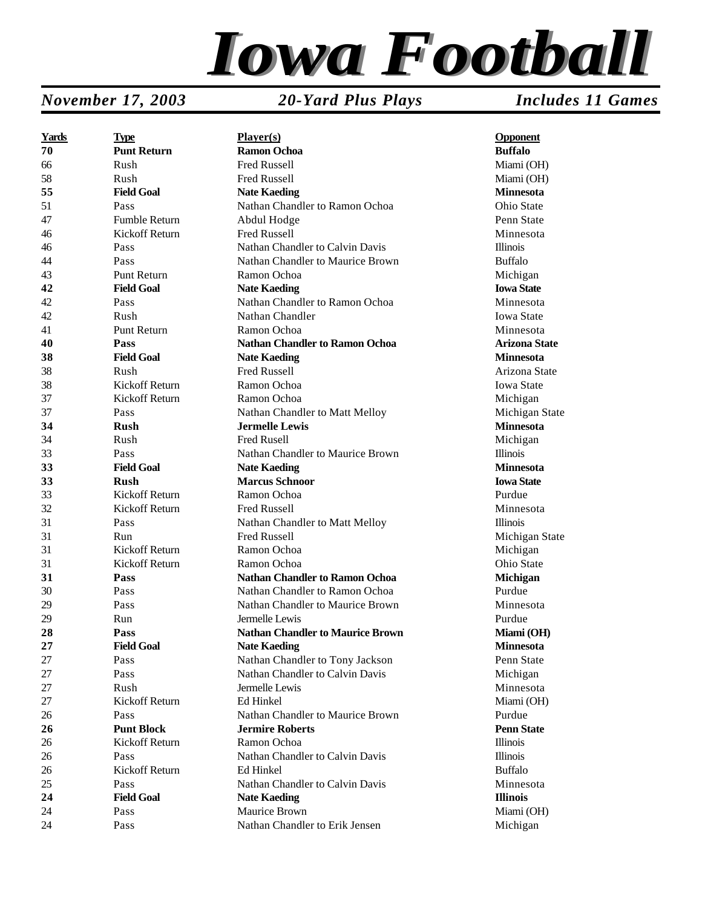

#### *November 17, 2003 20-Yard Plus Plays Includes 11 Games*

| <b>Yards</b> | <b>Type</b>          | Player(s)                               | <b>Opponent</b>      |
|--------------|----------------------|-----------------------------------------|----------------------|
| 70           | <b>Punt Return</b>   | <b>Ramon Ochoa</b>                      | <b>Buffalo</b>       |
| 66           | Rush                 | <b>Fred Russell</b>                     | Miami (OH)           |
| 58           | Rush                 | Fred Russell                            | Miami (OH)           |
| 55           | <b>Field Goal</b>    | <b>Nate Kaeding</b>                     | <b>Minnesota</b>     |
| 51           | Pass                 | Nathan Chandler to Ramon Ochoa          | Ohio State           |
| 47           | <b>Fumble Return</b> | Abdul Hodge                             | Penn State           |
| 46           | Kickoff Return       | Fred Russell                            | Minnesota            |
| 46           | Pass                 | Nathan Chandler to Calvin Davis         | <b>Illinois</b>      |
| 44           | Pass                 | Nathan Chandler to Maurice Brown        | <b>Buffalo</b>       |
| 43           | <b>Punt Return</b>   | Ramon Ochoa                             | Michigan             |
| 42           | <b>Field Goal</b>    | <b>Nate Kaeding</b>                     | <b>Iowa State</b>    |
| 42           | Pass                 | Nathan Chandler to Ramon Ochoa          | Minnesota            |
| 42           | Rush                 | Nathan Chandler                         | <b>Iowa State</b>    |
| 41           | Punt Return          | Ramon Ochoa                             | Minnesota            |
| 40           | Pass                 | <b>Nathan Chandler to Ramon Ochoa</b>   | <b>Arizona State</b> |
| 38           | <b>Field Goal</b>    | <b>Nate Kaeding</b>                     | <b>Minnesota</b>     |
| 38           | Rush                 | <b>Fred Russell</b>                     | Arizona State        |
| 38           | Kickoff Return       | Ramon Ochoa                             | <b>Iowa State</b>    |
| 37           | Kickoff Return       | Ramon Ochoa                             | Michigan             |
| 37           | Pass                 | Nathan Chandler to Matt Melloy          | Michigan State       |
| 34           | <b>Rush</b>          | <b>Jermelle Lewis</b>                   | <b>Minnesota</b>     |
| 34           | Rush                 | Fred Rusell                             | Michigan             |
| 33           | Pass                 | Nathan Chandler to Maurice Brown        | <b>Illinois</b>      |
| 33           | <b>Field Goal</b>    | <b>Nate Kaeding</b>                     | <b>Minnesota</b>     |
| 33           | <b>Rush</b>          | <b>Marcus Schnoor</b>                   | <b>Iowa State</b>    |
| 33           | Kickoff Return       | Ramon Ochoa                             | Purdue               |
| 32           | Kickoff Return       | <b>Fred Russell</b>                     | Minnesota            |
| 31           | Pass                 | Nathan Chandler to Matt Melloy          | <b>Illinois</b>      |
| 31           | Run                  | <b>Fred Russell</b>                     | Michigan State       |
| 31           | Kickoff Return       | Ramon Ochoa                             | Michigan             |
| 31           | Kickoff Return       | Ramon Ochoa                             | Ohio State           |
| 31           | Pass                 | <b>Nathan Chandler to Ramon Ochoa</b>   | Michigan             |
| 30           | Pass                 | Nathan Chandler to Ramon Ochoa          | Purdue               |
| 29           | Pass                 | Nathan Chandler to Maurice Brown        | Minnesota            |
| 29           | Run                  | Jermelle Lewis                          | Purdue               |
| 28           | Pass                 | <b>Nathan Chandler to Maurice Brown</b> | Miami (OH)           |
| 27           | <b>Field Goal</b>    | <b>Nate Kaeding</b>                     | Minnesota            |
| 27           | Pass                 | Nathan Chandler to Tony Jackson         | Penn State           |
| 27           | Pass                 | Nathan Chandler to Calvin Davis         | Michigan             |
| 27           | Rush                 | Jermelle Lewis                          | Minnesota            |
| 27           | Kickoff Return       | Ed Hinkel                               | Miami (OH)           |
| 26           | Pass                 | Nathan Chandler to Maurice Brown        | Purdue               |
| 26           | <b>Punt Block</b>    | <b>Jermire Roberts</b>                  | <b>Penn State</b>    |
| 26           | Kickoff Return       | Ramon Ochoa                             | <b>Illinois</b>      |
| 26           | Pass                 | Nathan Chandler to Calvin Davis         | <b>Illinois</b>      |
| 26           | Kickoff Return       | Ed Hinkel                               | <b>Buffalo</b>       |
| 25           | Pass                 | Nathan Chandler to Calvin Davis         | Minnesota            |
| 24           | <b>Field Goal</b>    | <b>Nate Kaeding</b>                     | <b>Illinois</b>      |
| 24           | Pass                 | Maurice Brown                           | Miami (OH)           |
| 24           | Pass                 | Nathan Chandler to Erik Jensen          | Michigan             |
|              |                      |                                         |                      |